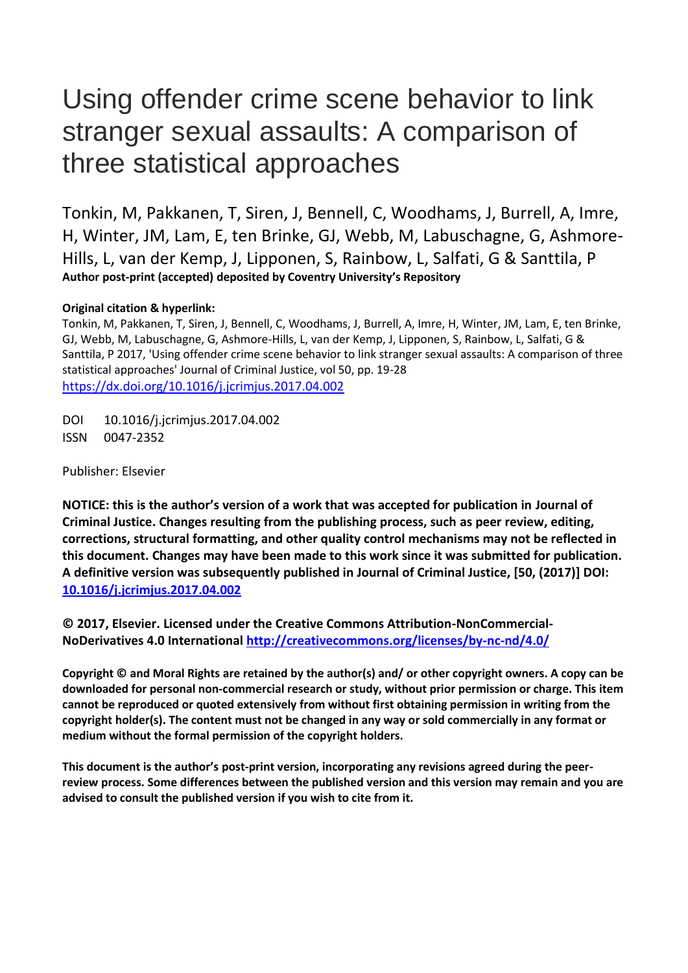# Using offender crime scene behavior to link stranger sexual assaults: A comparison of three statistical approaches

Tonkin, M, Pakkanen, T, Siren, J, Bennell, C, Woodhams, J, Burrell, A, Imre, H, Winter, JM, Lam, E, ten Brinke, GJ, Webb, M, Labuschagne, G, Ashmore-Hills, L, van der Kemp, J, Lipponen, S, Rainbow, L, Salfati, G & Santtila, P **Author post-print (accepted) deposited by Coventry University's Repository**

#### **Original citation & hyperlink:**

Tonkin, M, Pakkanen, T, Siren, J, Bennell, C, Woodhams, J, Burrell, A, Imre, H, Winter, JM, Lam, E, ten Brinke, GJ, Webb, M, Labuschagne, G, Ashmore-Hills, L, van der Kemp, J, Lipponen, S, Rainbow, L, Salfati, G & Santtila, P 2017, 'Using offender crime scene behavior to link stranger sexual assaults: A comparison of three statistical approaches' Journal of Criminal Justice, vol 50, pp. 19-28 <https://dx.doi.org/10.1016/j.jcrimjus.2017.04.002>

DOI 10.1016/j.jcrimjus.2017.04.002 ISSN 0047-2352

Publisher: Elsevier

**NOTICE: this is the author's version of a work that was accepted for publication in Journal of Criminal Justice. Changes resulting from the publishing process, such as peer review, editing, corrections, structural formatting, and other quality control mechanisms may not be reflected in this document. Changes may have been made to this work since it was submitted for publication. A definitive version was subsequently published in Journal of Criminal Justice, [50, (2017)] DOI: [10.1016/j.jcrimjus.2017.04.002](http://dx.doi.org/10.1016/j.jcrimjus.2017.04.002)**

**© 2017, Elsevier. Licensed under the Creative Commons Attribution-NonCommercial-NoDerivatives 4.0 International<http://creativecommons.org/licenses/by-nc-nd/4.0/>**

**Copyright © and Moral Rights are retained by the author(s) and/ or other copyright owners. A copy can be downloaded for personal non-commercial research or study, without prior permission or charge. This item cannot be reproduced or quoted extensively from without first obtaining permission in writing from the copyright holder(s). The content must not be changed in any way or sold commercially in any format or medium without the formal permission of the copyright holders.** 

**This document is the author's post-print version, incorporating any revisions agreed during the peerreview process. Some differences between the published version and this version may remain and you are advised to consult the published version if you wish to cite from it.**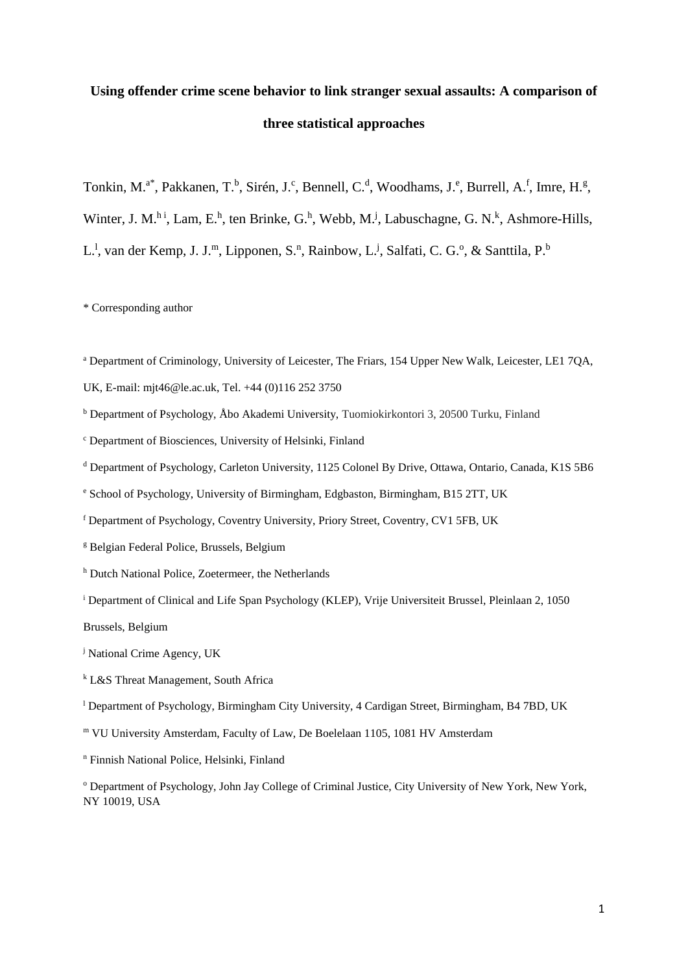## **Using offender crime scene behavior to link stranger sexual assaults: A comparison of three statistical approaches**

Tonkin, M.<sup>a\*</sup>, Pakkanen, T.<sup>b</sup>, Sirén, J.<sup>c</sup>, Bennell, C.<sup>d</sup>, Woodhams, J.<sup>e</sup>, Burrell, A.<sup>f</sup>, Imre, H.<sup>g</sup>,

Winter, J. M.<sup>h.i</sup>, Lam, E.<sup>h</sup>, ten Brinke, G.<sup>h</sup>, Webb, M.<sup>j</sup>, Labuschagne, G. N.<sup>k</sup>, Ashmore-Hills,

L.<sup>1</sup>, van der Kemp, J. J.<sup>m</sup>, Lipponen, S.<sup>n</sup>, Rainbow, L.<sup>j</sup>, Salfati, C. G.<sup>o</sup>, & Santtila, P.<sup>b</sup>

\* Corresponding author

<sup>a</sup> Department of Criminology, University of Leicester, The Friars, 154 Upper New Walk, Leicester, LE1 7QA,

UK, E-mail: mjt46@le.ac.uk, Tel. +44 (0)116 252 3750

- <sup>b</sup> Department of Psychology, Åbo Akademi University, Tuomiokirkontori 3, 20500 Turku, Finland
- <sup>c</sup> Department of Biosciences, University of Helsinki, Finland
- <sup>d</sup> Department of Psychology, Carleton University, 1125 Colonel By Drive, Ottawa, Ontario, Canada, K1S 5B6
- <sup>e</sup> School of Psychology, University of Birmingham, Edgbaston, Birmingham, B15 2TT, UK
- <sup>f</sup> Department of Psychology, Coventry University, Priory Street, Coventry, CV1 5FB, UK
- <sup>g</sup> Belgian Federal Police, Brussels, Belgium
- <sup>h</sup> Dutch National Police, Zoetermeer, the Netherlands
- <sup>i</sup> Department of Clinical and Life Span Psychology (KLEP), Vrije Universiteit Brussel, Pleinlaan 2, 1050

Brussels, Belgium

- <sup>j</sup> National Crime Agency, UK
- <sup>k</sup> L&S Threat Management, South Africa
- <sup>l</sup> Department of Psychology, Birmingham City University, 4 Cardigan Street, Birmingham, B4 7BD, UK
- <sup>m</sup> VU University Amsterdam, Faculty of Law, De Boelelaan 1105, 1081 HV Amsterdam
- <sup>n</sup> Finnish National Police, Helsinki, Finland

<sup>o</sup> Department of Psychology, John Jay College of Criminal Justice, City University of New York, New York, NY 10019, USA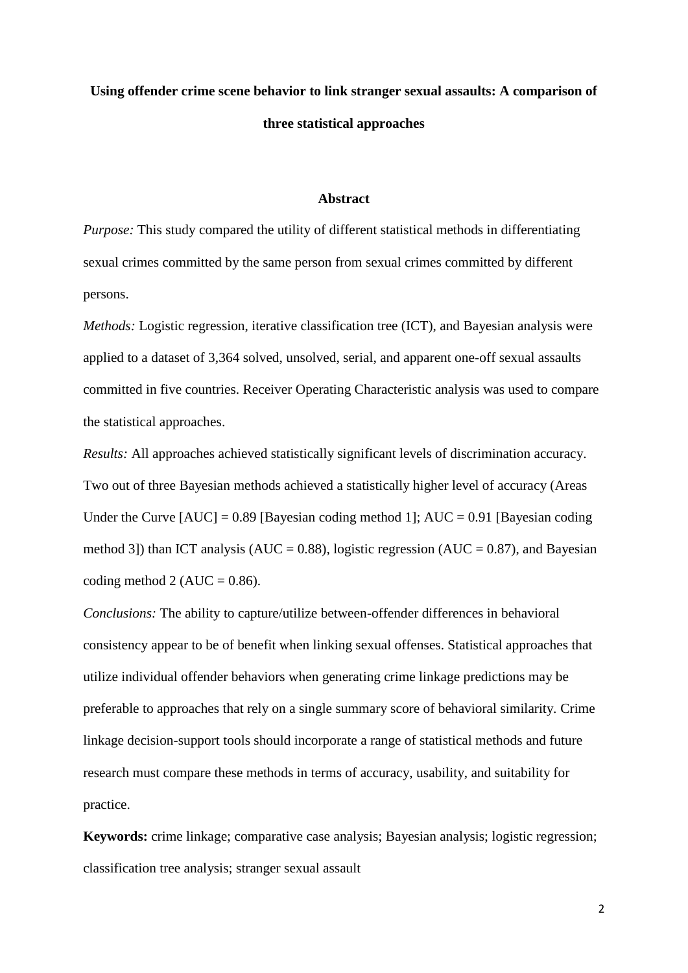# **Using offender crime scene behavior to link stranger sexual assaults: A comparison of three statistical approaches**

#### **Abstract**

*Purpose:* This study compared the utility of different statistical methods in differentiating sexual crimes committed by the same person from sexual crimes committed by different persons.

*Methods:* Logistic regression, iterative classification tree (ICT), and Bayesian analysis were applied to a dataset of 3,364 solved, unsolved, serial, and apparent one-off sexual assaults committed in five countries. Receiver Operating Characteristic analysis was used to compare the statistical approaches.

*Results:* All approaches achieved statistically significant levels of discrimination accuracy. Two out of three Bayesian methods achieved a statistically higher level of accuracy (Areas Under the Curve  $[AUC] = 0.89$  [Bayesian coding method 1];  $AUC = 0.91$  [Bayesian coding method 3]) than ICT analysis (AUC = 0.88), logistic regression (AUC = 0.87), and Bayesian coding method 2 (AUC =  $0.86$ ).

*Conclusions:* The ability to capture/utilize between-offender differences in behavioral consistency appear to be of benefit when linking sexual offenses. Statistical approaches that utilize individual offender behaviors when generating crime linkage predictions may be preferable to approaches that rely on a single summary score of behavioral similarity. Crime linkage decision-support tools should incorporate a range of statistical methods and future research must compare these methods in terms of accuracy, usability, and suitability for practice.

**Keywords:** crime linkage; comparative case analysis; Bayesian analysis; logistic regression; classification tree analysis; stranger sexual assault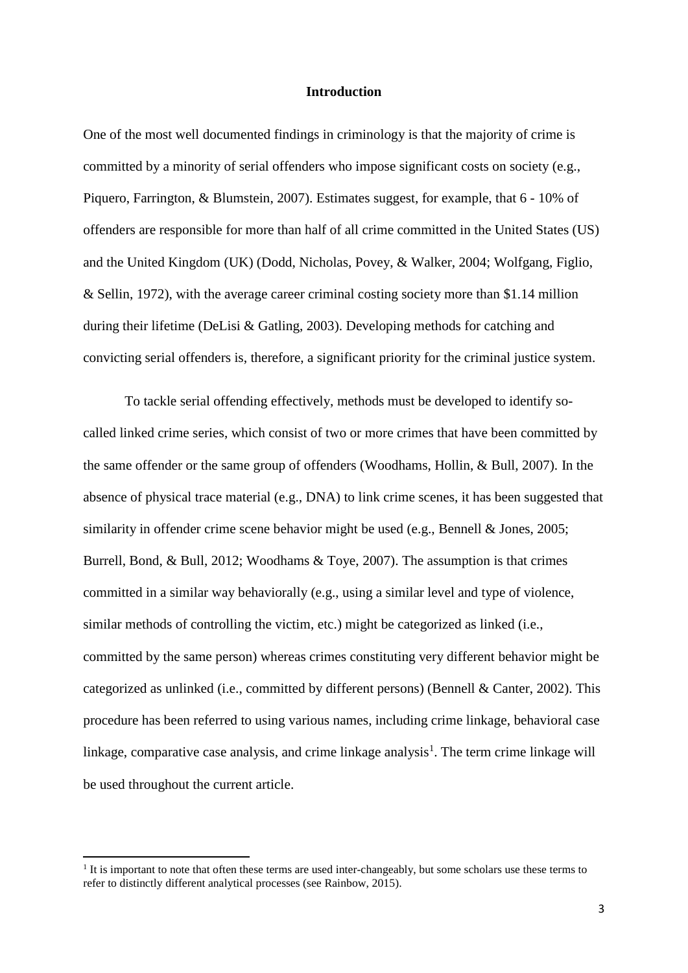#### **Introduction**

One of the most well documented findings in criminology is that the majority of crime is committed by a minority of serial offenders who impose significant costs on society (e.g., Piquero, Farrington, & Blumstein, 2007). Estimates suggest, for example, that 6 - 10% of offenders are responsible for more than half of all crime committed in the United States (US) and the United Kingdom (UK) (Dodd, Nicholas, Povey, & Walker, 2004; Wolfgang, Figlio, & Sellin, 1972), with the average career criminal costing society more than \$1.14 million during their lifetime (DeLisi & Gatling, 2003). Developing methods for catching and convicting serial offenders is, therefore, a significant priority for the criminal justice system.

To tackle serial offending effectively, methods must be developed to identify socalled linked crime series, which consist of two or more crimes that have been committed by the same offender or the same group of offenders (Woodhams, Hollin, & Bull, 2007). In the absence of physical trace material (e.g., DNA) to link crime scenes, it has been suggested that similarity in offender crime scene behavior might be used (e.g., Bennell & Jones, 2005; Burrell, Bond, & Bull, 2012; Woodhams & Toye, 2007). The assumption is that crimes committed in a similar way behaviorally (e.g., using a similar level and type of violence, similar methods of controlling the victim, etc.) might be categorized as linked (i.e., committed by the same person) whereas crimes constituting very different behavior might be categorized as unlinked (i.e., committed by different persons) (Bennell & Canter, 2002). This procedure has been referred to using various names, including crime linkage, behavioral case linkage, comparative case analysis, and crime linkage analysis<sup>1</sup>. The term crime linkage will be used throughout the current article.

<sup>&</sup>lt;sup>1</sup> It is important to note that often these terms are used inter-changeably, but some scholars use these terms to refer to distinctly different analytical processes (see Rainbow, 2015).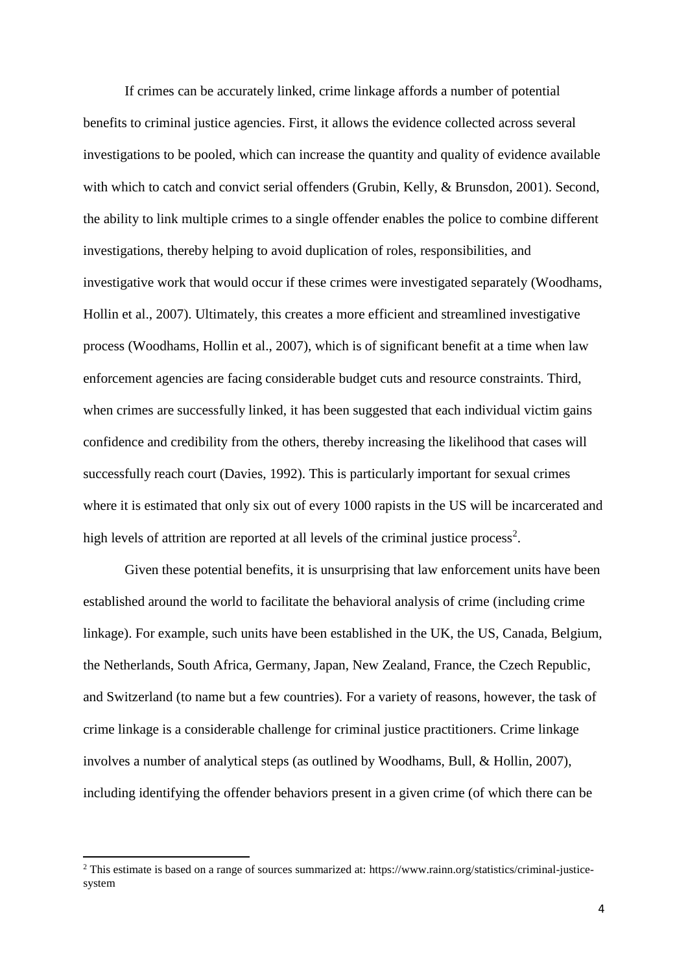If crimes can be accurately linked, crime linkage affords a number of potential benefits to criminal justice agencies. First, it allows the evidence collected across several investigations to be pooled, which can increase the quantity and quality of evidence available with which to catch and convict serial offenders (Grubin, Kelly, & Brunsdon, 2001). Second, the ability to link multiple crimes to a single offender enables the police to combine different investigations, thereby helping to avoid duplication of roles, responsibilities, and investigative work that would occur if these crimes were investigated separately (Woodhams, Hollin et al., 2007). Ultimately, this creates a more efficient and streamlined investigative process (Woodhams, Hollin et al., 2007), which is of significant benefit at a time when law enforcement agencies are facing considerable budget cuts and resource constraints. Third, when crimes are successfully linked, it has been suggested that each individual victim gains confidence and credibility from the others, thereby increasing the likelihood that cases will successfully reach court (Davies, 1992). This is particularly important for sexual crimes where it is estimated that only six out of every 1000 rapists in the US will be incarcerated and high levels of attrition are reported at all levels of the criminal justice process<sup>2</sup>.

Given these potential benefits, it is unsurprising that law enforcement units have been established around the world to facilitate the behavioral analysis of crime (including crime linkage). For example, such units have been established in the UK, the US, Canada, Belgium, the Netherlands, South Africa, Germany, Japan, New Zealand, France, the Czech Republic, and Switzerland (to name but a few countries). For a variety of reasons, however, the task of crime linkage is a considerable challenge for criminal justice practitioners. Crime linkage involves a number of analytical steps (as outlined by Woodhams, Bull, & Hollin, 2007), including identifying the offender behaviors present in a given crime (of which there can be

<sup>2</sup> This estimate is based on a range of sources summarized at: https://www.rainn.org/statistics/criminal-justicesystem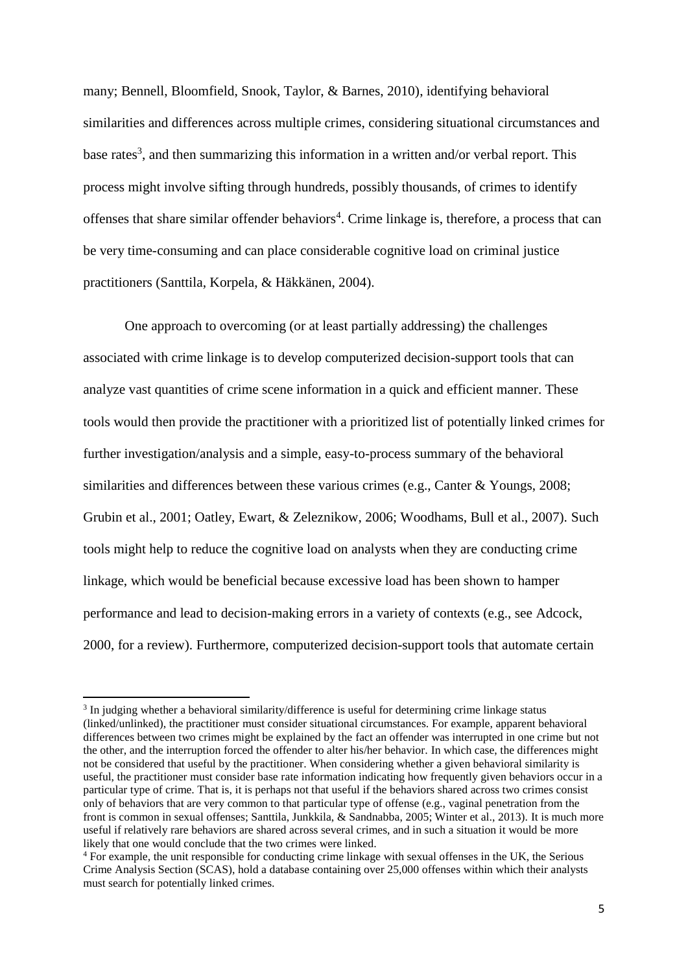many; Bennell, Bloomfield, Snook, Taylor, & Barnes, 2010), identifying behavioral similarities and differences across multiple crimes, considering situational circumstances and base rates<sup>3</sup>, and then summarizing this information in a written and/or verbal report. This process might involve sifting through hundreds, possibly thousands, of crimes to identify offenses that share similar offender behaviors<sup>4</sup>. Crime linkage is, therefore, a process that can be very time-consuming and can place considerable cognitive load on criminal justice practitioners (Santtila, Korpela, & Häkkänen, 2004).

One approach to overcoming (or at least partially addressing) the challenges associated with crime linkage is to develop computerized decision-support tools that can analyze vast quantities of crime scene information in a quick and efficient manner. These tools would then provide the practitioner with a prioritized list of potentially linked crimes for further investigation/analysis and a simple, easy-to-process summary of the behavioral similarities and differences between these various crimes (e.g., Canter & Youngs, 2008; Grubin et al., 2001; Oatley, Ewart, & Zeleznikow, 2006; Woodhams, Bull et al., 2007). Such tools might help to reduce the cognitive load on analysts when they are conducting crime linkage, which would be beneficial because excessive load has been shown to hamper performance and lead to decision-making errors in a variety of contexts (e.g., see Adcock, 2000, for a review). Furthermore, computerized decision-support tools that automate certain

<sup>&</sup>lt;sup>3</sup> In judging whether a behavioral similarity/difference is useful for determining crime linkage status (linked/unlinked), the practitioner must consider situational circumstances. For example, apparent behavioral differences between two crimes might be explained by the fact an offender was interrupted in one crime but not the other, and the interruption forced the offender to alter his/her behavior. In which case, the differences might not be considered that useful by the practitioner. When considering whether a given behavioral similarity is useful, the practitioner must consider base rate information indicating how frequently given behaviors occur in a particular type of crime. That is, it is perhaps not that useful if the behaviors shared across two crimes consist only of behaviors that are very common to that particular type of offense (e.g., vaginal penetration from the front is common in sexual offenses; Santtila, Junkkila, & Sandnabba, 2005; Winter et al., 2013). It is much more useful if relatively rare behaviors are shared across several crimes, and in such a situation it would be more likely that one would conclude that the two crimes were linked.

<sup>4</sup> For example, the unit responsible for conducting crime linkage with sexual offenses in the UK, the Serious Crime Analysis Section (SCAS), hold a database containing over 25,000 offenses within which their analysts must search for potentially linked crimes.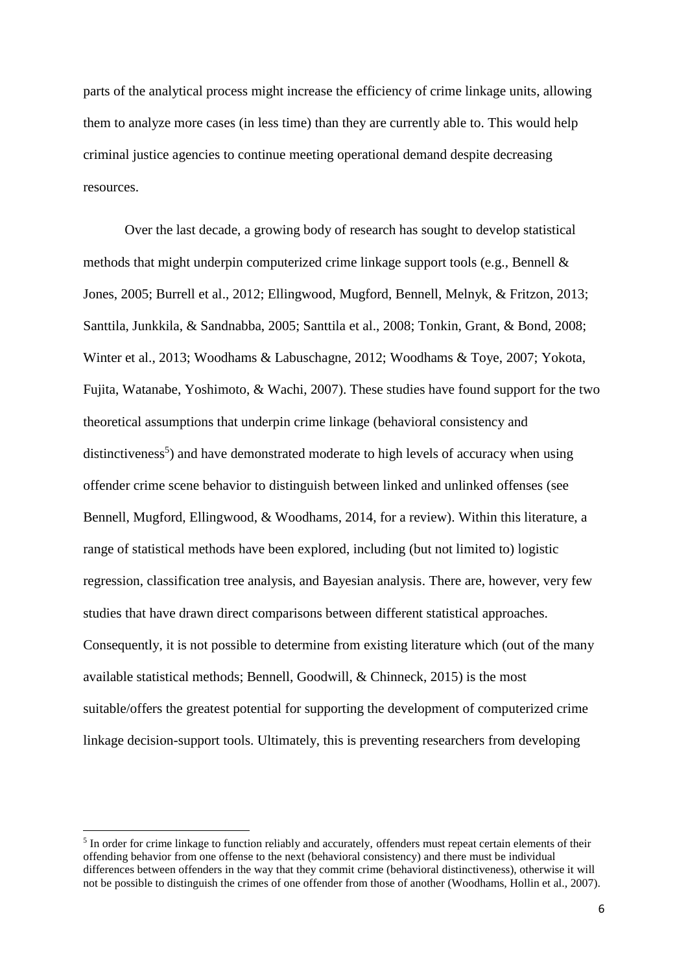parts of the analytical process might increase the efficiency of crime linkage units, allowing them to analyze more cases (in less time) than they are currently able to. This would help criminal justice agencies to continue meeting operational demand despite decreasing resources.

Over the last decade, a growing body of research has sought to develop statistical methods that might underpin computerized crime linkage support tools (e.g., Bennell & Jones, 2005; Burrell et al., 2012; Ellingwood, Mugford, Bennell, Melnyk, & Fritzon, 2013; Santtila, Junkkila, & Sandnabba, 2005; Santtila et al., 2008; Tonkin, Grant, & Bond, 2008; Winter et al., 2013; Woodhams & Labuschagne, 2012; Woodhams & Toye, 2007; Yokota, Fujita, Watanabe, Yoshimoto, & Wachi, 2007). These studies have found support for the two theoretical assumptions that underpin crime linkage (behavioral consistency and distinctiveness<sup>5</sup>) and have demonstrated moderate to high levels of accuracy when using offender crime scene behavior to distinguish between linked and unlinked offenses (see Bennell, Mugford, Ellingwood, & Woodhams, 2014, for a review). Within this literature, a range of statistical methods have been explored, including (but not limited to) logistic regression, classification tree analysis, and Bayesian analysis. There are, however, very few studies that have drawn direct comparisons between different statistical approaches. Consequently, it is not possible to determine from existing literature which (out of the many available statistical methods; Bennell, Goodwill, & Chinneck, 2015) is the most suitable/offers the greatest potential for supporting the development of computerized crime linkage decision-support tools. Ultimately, this is preventing researchers from developing

<sup>&</sup>lt;sup>5</sup> In order for crime linkage to function reliably and accurately, offenders must repeat certain elements of their offending behavior from one offense to the next (behavioral consistency) and there must be individual differences between offenders in the way that they commit crime (behavioral distinctiveness), otherwise it will not be possible to distinguish the crimes of one offender from those of another (Woodhams, Hollin et al., 2007).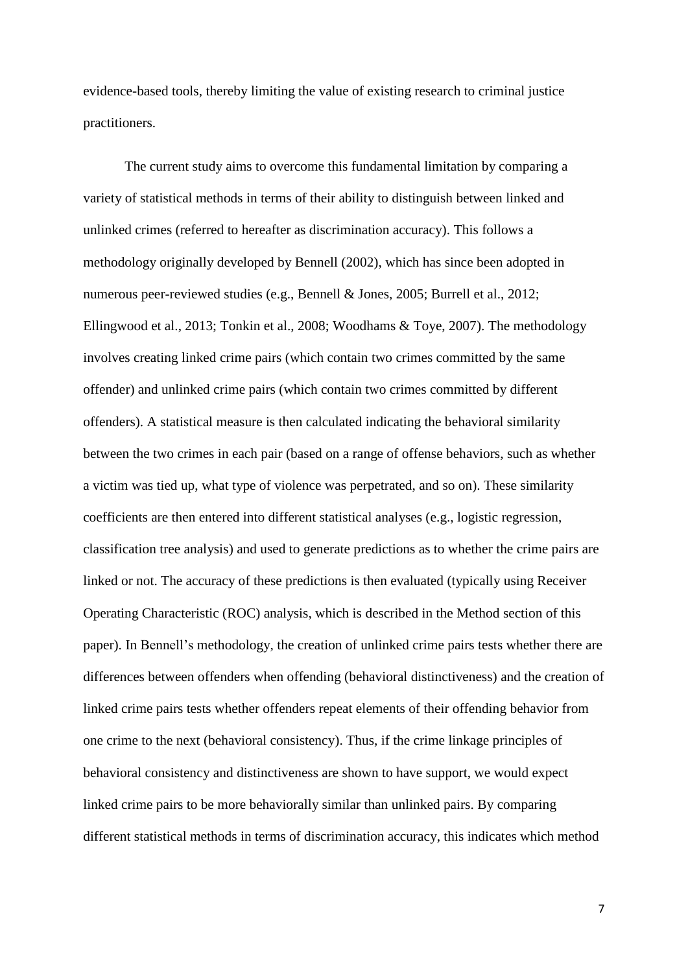evidence-based tools, thereby limiting the value of existing research to criminal justice practitioners.

The current study aims to overcome this fundamental limitation by comparing a variety of statistical methods in terms of their ability to distinguish between linked and unlinked crimes (referred to hereafter as discrimination accuracy). This follows a methodology originally developed by Bennell (2002), which has since been adopted in numerous peer-reviewed studies (e.g., Bennell & Jones, 2005; Burrell et al., 2012; Ellingwood et al., 2013; Tonkin et al., 2008; Woodhams & Toye, 2007). The methodology involves creating linked crime pairs (which contain two crimes committed by the same offender) and unlinked crime pairs (which contain two crimes committed by different offenders). A statistical measure is then calculated indicating the behavioral similarity between the two crimes in each pair (based on a range of offense behaviors, such as whether a victim was tied up, what type of violence was perpetrated, and so on). These similarity coefficients are then entered into different statistical analyses (e.g., logistic regression, classification tree analysis) and used to generate predictions as to whether the crime pairs are linked or not. The accuracy of these predictions is then evaluated (typically using Receiver Operating Characteristic (ROC) analysis, which is described in the Method section of this paper). In Bennell's methodology, the creation of unlinked crime pairs tests whether there are differences between offenders when offending (behavioral distinctiveness) and the creation of linked crime pairs tests whether offenders repeat elements of their offending behavior from one crime to the next (behavioral consistency). Thus, if the crime linkage principles of behavioral consistency and distinctiveness are shown to have support, we would expect linked crime pairs to be more behaviorally similar than unlinked pairs. By comparing different statistical methods in terms of discrimination accuracy, this indicates which method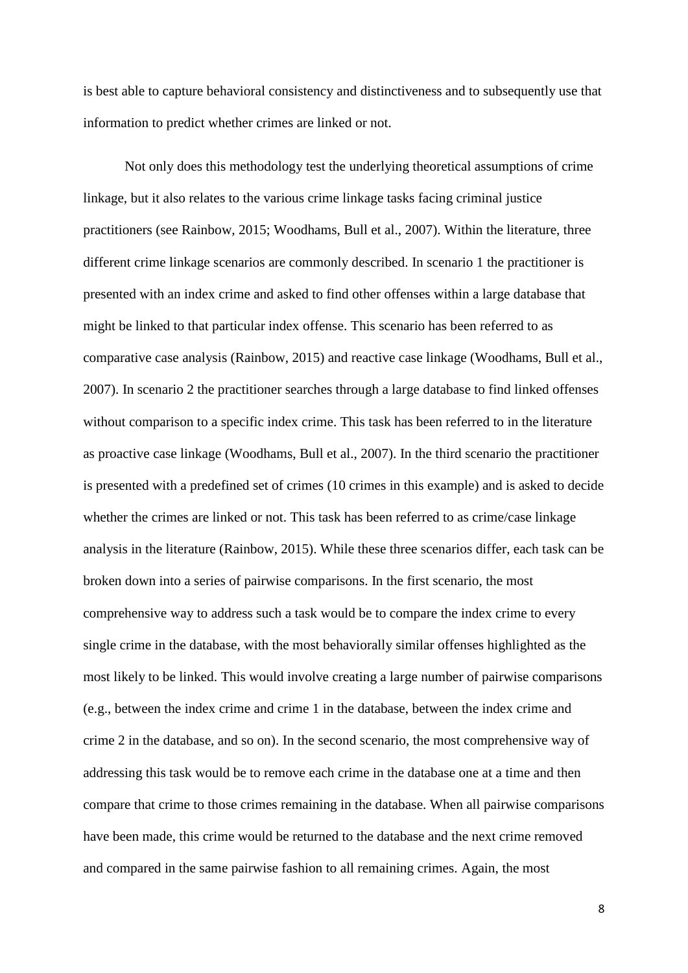is best able to capture behavioral consistency and distinctiveness and to subsequently use that information to predict whether crimes are linked or not.

Not only does this methodology test the underlying theoretical assumptions of crime linkage, but it also relates to the various crime linkage tasks facing criminal justice practitioners (see Rainbow, 2015; Woodhams, Bull et al., 2007). Within the literature, three different crime linkage scenarios are commonly described. In scenario 1 the practitioner is presented with an index crime and asked to find other offenses within a large database that might be linked to that particular index offense. This scenario has been referred to as comparative case analysis (Rainbow, 2015) and reactive case linkage (Woodhams, Bull et al., 2007). In scenario 2 the practitioner searches through a large database to find linked offenses without comparison to a specific index crime. This task has been referred to in the literature as proactive case linkage (Woodhams, Bull et al., 2007). In the third scenario the practitioner is presented with a predefined set of crimes (10 crimes in this example) and is asked to decide whether the crimes are linked or not. This task has been referred to as crime/case linkage analysis in the literature (Rainbow, 2015). While these three scenarios differ, each task can be broken down into a series of pairwise comparisons. In the first scenario, the most comprehensive way to address such a task would be to compare the index crime to every single crime in the database, with the most behaviorally similar offenses highlighted as the most likely to be linked. This would involve creating a large number of pairwise comparisons (e.g., between the index crime and crime 1 in the database, between the index crime and crime 2 in the database, and so on). In the second scenario, the most comprehensive way of addressing this task would be to remove each crime in the database one at a time and then compare that crime to those crimes remaining in the database. When all pairwise comparisons have been made, this crime would be returned to the database and the next crime removed and compared in the same pairwise fashion to all remaining crimes. Again, the most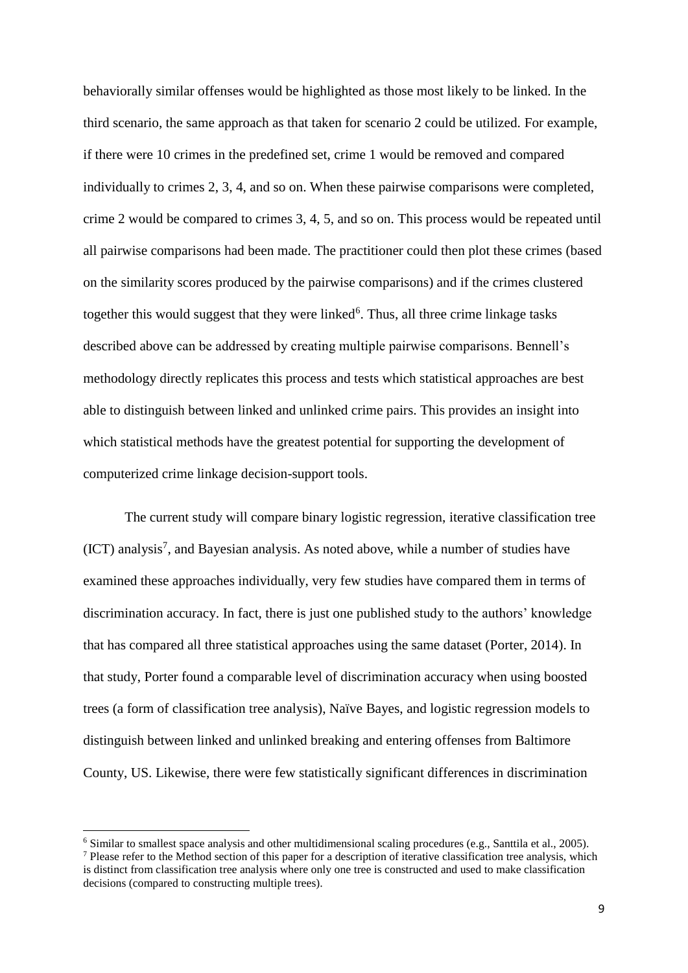behaviorally similar offenses would be highlighted as those most likely to be linked. In the third scenario, the same approach as that taken for scenario 2 could be utilized. For example, if there were 10 crimes in the predefined set, crime 1 would be removed and compared individually to crimes 2, 3, 4, and so on. When these pairwise comparisons were completed, crime 2 would be compared to crimes 3, 4, 5, and so on. This process would be repeated until all pairwise comparisons had been made. The practitioner could then plot these crimes (based on the similarity scores produced by the pairwise comparisons) and if the crimes clustered together this would suggest that they were linked<sup>6</sup>. Thus, all three crime linkage tasks described above can be addressed by creating multiple pairwise comparisons. Bennell's methodology directly replicates this process and tests which statistical approaches are best able to distinguish between linked and unlinked crime pairs. This provides an insight into which statistical methods have the greatest potential for supporting the development of computerized crime linkage decision-support tools.

The current study will compare binary logistic regression, iterative classification tree  $(ICT)$  analysis<sup>7</sup>, and Bayesian analysis. As noted above, while a number of studies have examined these approaches individually, very few studies have compared them in terms of discrimination accuracy. In fact, there is just one published study to the authors' knowledge that has compared all three statistical approaches using the same dataset (Porter, 2014). In that study, Porter found a comparable level of discrimination accuracy when using boosted trees (a form of classification tree analysis), Naïve Bayes, and logistic regression models to distinguish between linked and unlinked breaking and entering offenses from Baltimore County, US. Likewise, there were few statistically significant differences in discrimination

 $6$  Similar to smallest space analysis and other multidimensional scaling procedures (e.g., Santtila et al., 2005).

<sup>&</sup>lt;sup>7</sup> Please refer to the Method section of this paper for a description of iterative classification tree analysis, which is distinct from classification tree analysis where only one tree is constructed and used to make classification decisions (compared to constructing multiple trees).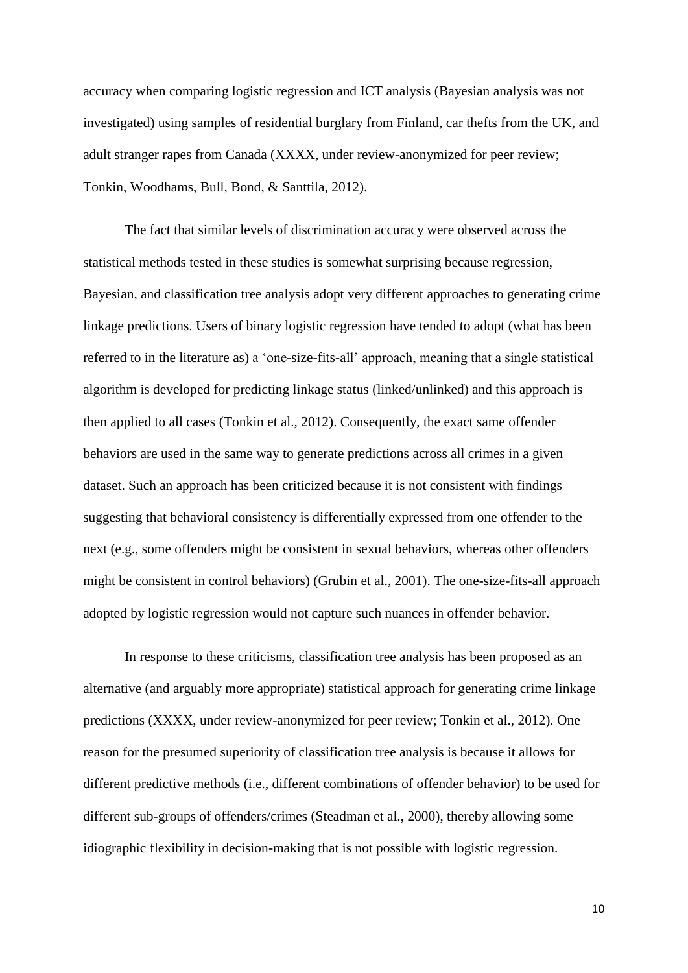accuracy when comparing logistic regression and ICT analysis (Bayesian analysis was not investigated) using samples of residential burglary from Finland, car thefts from the UK, and adult stranger rapes from Canada (XXXX, under review-anonymized for peer review; Tonkin, Woodhams, Bull, Bond, & Santtila, 2012).

The fact that similar levels of discrimination accuracy were observed across the statistical methods tested in these studies is somewhat surprising because regression, Bayesian, and classification tree analysis adopt very different approaches to generating crime linkage predictions. Users of binary logistic regression have tended to adopt (what has been referred to in the literature as) a 'one-size-fits-all' approach, meaning that a single statistical algorithm is developed for predicting linkage status (linked/unlinked) and this approach is then applied to all cases (Tonkin et al., 2012). Consequently, the exact same offender behaviors are used in the same way to generate predictions across all crimes in a given dataset. Such an approach has been criticized because it is not consistent with findings suggesting that behavioral consistency is differentially expressed from one offender to the next (e.g., some offenders might be consistent in sexual behaviors, whereas other offenders might be consistent in control behaviors) (Grubin et al., 2001). The one-size-fits-all approach adopted by logistic regression would not capture such nuances in offender behavior.

In response to these criticisms, classification tree analysis has been proposed as an alternative (and arguably more appropriate) statistical approach for generating crime linkage predictions (XXXX, under review-anonymized for peer review; Tonkin et al., 2012). One reason for the presumed superiority of classification tree analysis is because it allows for different predictive methods (i.e., different combinations of offender behavior) to be used for different sub-groups of offenders/crimes (Steadman et al., 2000), thereby allowing some idiographic flexibility in decision-making that is not possible with logistic regression.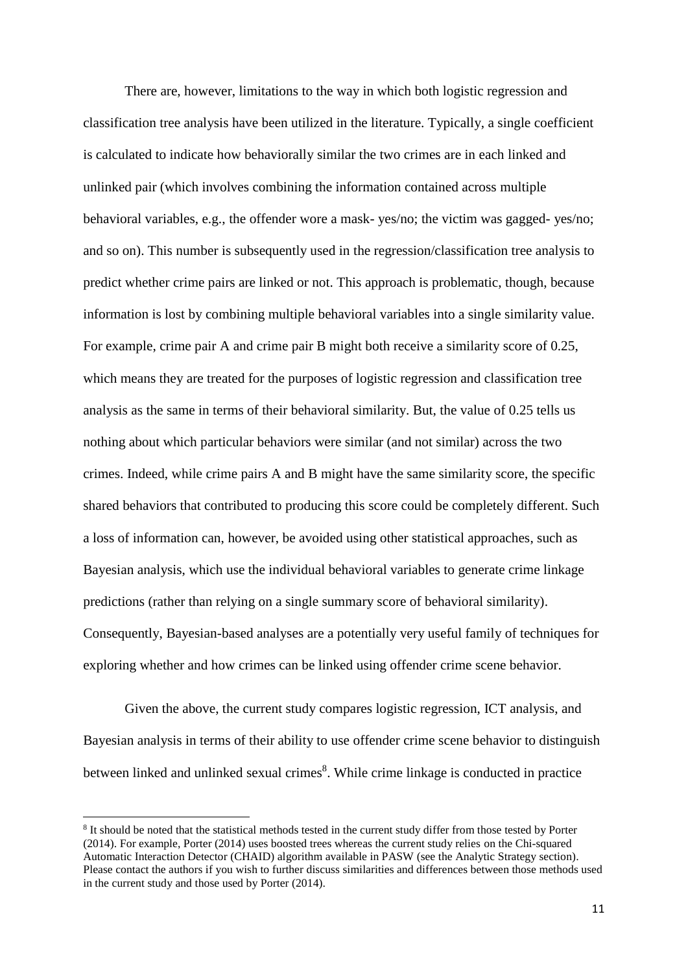There are, however, limitations to the way in which both logistic regression and classification tree analysis have been utilized in the literature. Typically, a single coefficient is calculated to indicate how behaviorally similar the two crimes are in each linked and unlinked pair (which involves combining the information contained across multiple behavioral variables, e.g., the offender wore a mask- yes/no; the victim was gagged- yes/no; and so on). This number is subsequently used in the regression/classification tree analysis to predict whether crime pairs are linked or not. This approach is problematic, though, because information is lost by combining multiple behavioral variables into a single similarity value. For example, crime pair A and crime pair B might both receive a similarity score of 0.25, which means they are treated for the purposes of logistic regression and classification tree analysis as the same in terms of their behavioral similarity. But, the value of 0.25 tells us nothing about which particular behaviors were similar (and not similar) across the two crimes. Indeed, while crime pairs A and B might have the same similarity score, the specific shared behaviors that contributed to producing this score could be completely different. Such a loss of information can, however, be avoided using other statistical approaches, such as Bayesian analysis, which use the individual behavioral variables to generate crime linkage predictions (rather than relying on a single summary score of behavioral similarity). Consequently, Bayesian-based analyses are a potentially very useful family of techniques for exploring whether and how crimes can be linked using offender crime scene behavior.

Given the above, the current study compares logistic regression, ICT analysis, and Bayesian analysis in terms of their ability to use offender crime scene behavior to distinguish between linked and unlinked sexual crimes<sup>8</sup>. While crime linkage is conducted in practice

<sup>&</sup>lt;sup>8</sup> It should be noted that the statistical methods tested in the current study differ from those tested by Porter (2014). For example, Porter (2014) uses boosted trees whereas the current study relies on the Chi-squared Automatic Interaction Detector (CHAID) algorithm available in PASW (see the Analytic Strategy section). Please contact the authors if you wish to further discuss similarities and differences between those methods used in the current study and those used by Porter (2014).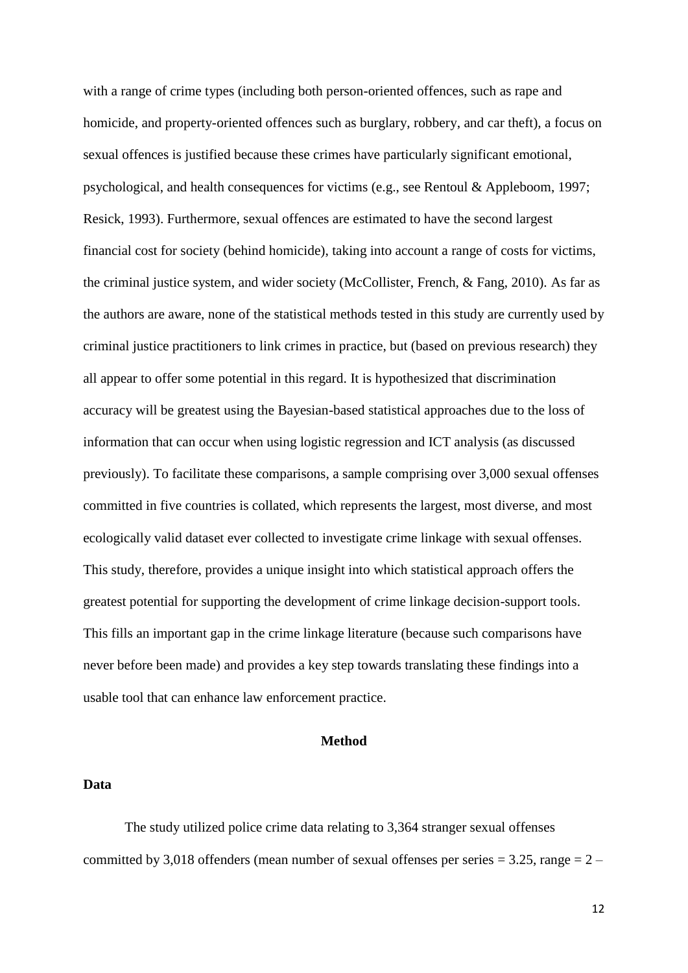with a range of crime types (including both person-oriented offences, such as rape and homicide, and property-oriented offences such as burglary, robbery, and car theft), a focus on sexual offences is justified because these crimes have particularly significant emotional, psychological, and health consequences for victims (e.g., see Rentoul & Appleboom, 1997; Resick, 1993). Furthermore, sexual offences are estimated to have the second largest financial cost for society (behind homicide), taking into account a range of costs for victims, the criminal justice system, and wider society (McCollister, French, & Fang, 2010). As far as the authors are aware, none of the statistical methods tested in this study are currently used by criminal justice practitioners to link crimes in practice, but (based on previous research) they all appear to offer some potential in this regard. It is hypothesized that discrimination accuracy will be greatest using the Bayesian-based statistical approaches due to the loss of information that can occur when using logistic regression and ICT analysis (as discussed previously). To facilitate these comparisons, a sample comprising over 3,000 sexual offenses committed in five countries is collated, which represents the largest, most diverse, and most ecologically valid dataset ever collected to investigate crime linkage with sexual offenses. This study, therefore, provides a unique insight into which statistical approach offers the greatest potential for supporting the development of crime linkage decision-support tools. This fills an important gap in the crime linkage literature (because such comparisons have never before been made) and provides a key step towards translating these findings into a usable tool that can enhance law enforcement practice.

#### **Method**

#### **Data**

The study utilized police crime data relating to 3,364 stranger sexual offenses committed by 3,018 offenders (mean number of sexual offenses per series  $= 3.25$ , range  $= 2 -$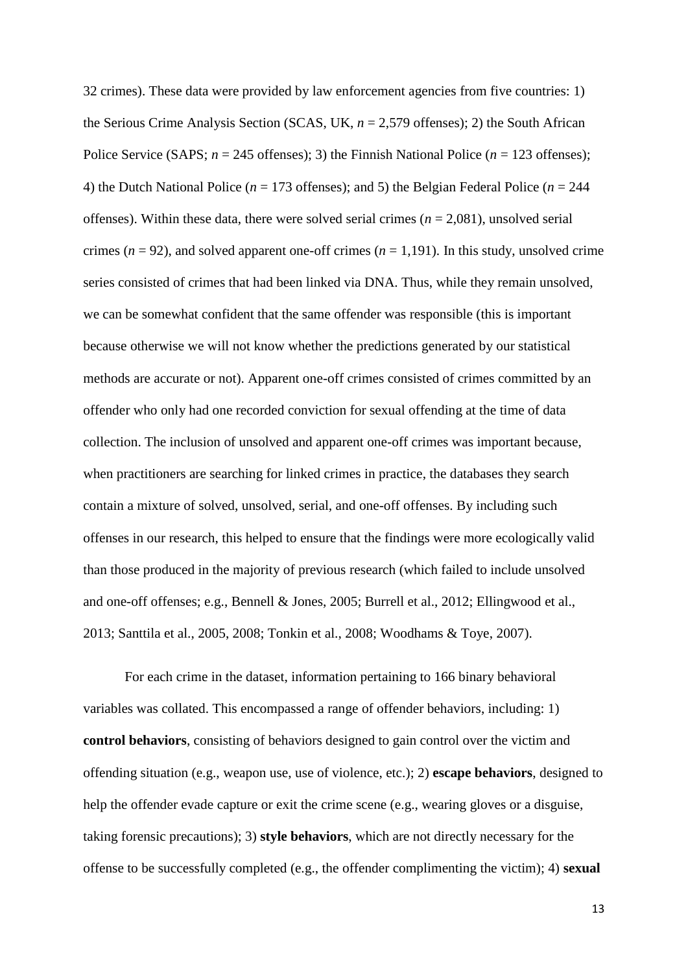32 crimes). These data were provided by law enforcement agencies from five countries: 1) the Serious Crime Analysis Section (SCAS, UK, *n* = 2,579 offenses); 2) the South African Police Service (SAPS;  $n = 245$  offenses); 3) the Finnish National Police ( $n = 123$  offenses); 4) the Dutch National Police (*n* = 173 offenses); and 5) the Belgian Federal Police (*n* = 244 offenses). Within these data, there were solved serial crimes (*n* = 2,081), unsolved serial crimes ( $n = 92$ ), and solved apparent one-off crimes ( $n = 1,191$ ). In this study, unsolved crime series consisted of crimes that had been linked via DNA. Thus, while they remain unsolved, we can be somewhat confident that the same offender was responsible (this is important because otherwise we will not know whether the predictions generated by our statistical methods are accurate or not). Apparent one-off crimes consisted of crimes committed by an offender who only had one recorded conviction for sexual offending at the time of data collection. The inclusion of unsolved and apparent one-off crimes was important because, when practitioners are searching for linked crimes in practice, the databases they search contain a mixture of solved, unsolved, serial, and one-off offenses. By including such offenses in our research, this helped to ensure that the findings were more ecologically valid than those produced in the majority of previous research (which failed to include unsolved and one-off offenses; e.g., Bennell & Jones, 2005; Burrell et al., 2012; Ellingwood et al., 2013; Santtila et al., 2005, 2008; Tonkin et al., 2008; Woodhams & Toye, 2007).

For each crime in the dataset, information pertaining to 166 binary behavioral variables was collated. This encompassed a range of offender behaviors, including: 1) **control behaviors**, consisting of behaviors designed to gain control over the victim and offending situation (e.g., weapon use, use of violence, etc.); 2) **escape behaviors**, designed to help the offender evade capture or exit the crime scene (e.g., wearing gloves or a disguise, taking forensic precautions); 3) **style behaviors**, which are not directly necessary for the offense to be successfully completed (e.g., the offender complimenting the victim); 4) **sexual**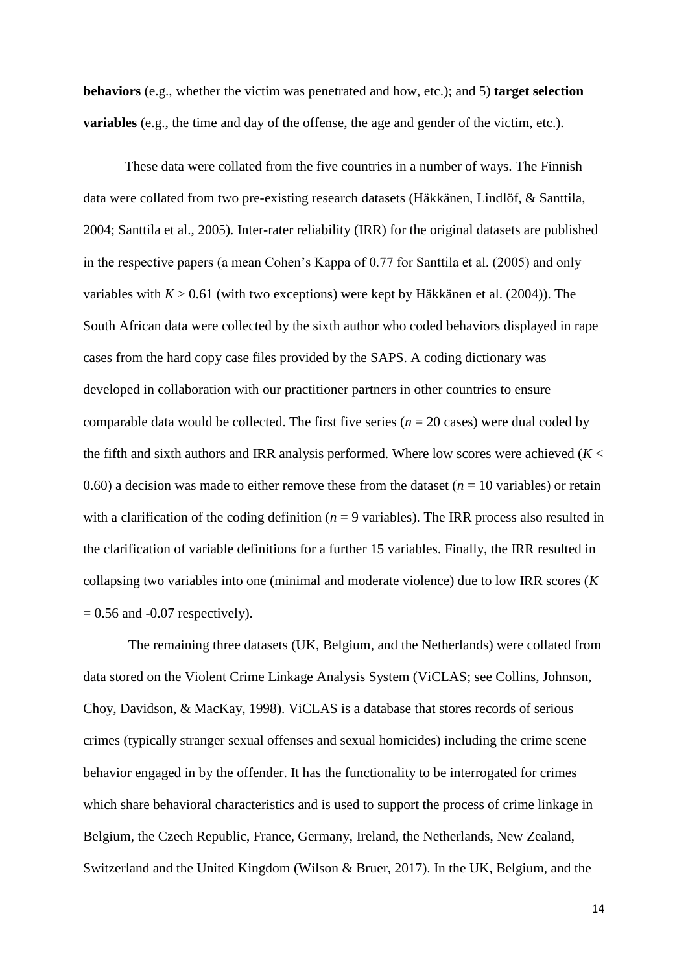**behaviors** (e.g., whether the victim was penetrated and how, etc.); and 5) **target selection variables** (e.g., the time and day of the offense, the age and gender of the victim, etc.).

These data were collated from the five countries in a number of ways. The Finnish data were collated from two pre-existing research datasets (Häkkänen, Lindlöf, & Santtila, 2004; Santtila et al., 2005). Inter-rater reliability (IRR) for the original datasets are published in the respective papers (a mean Cohen's Kappa of 0.77 for Santtila et al. (2005) and only variables with  $K > 0.61$  (with two exceptions) were kept by Häkkänen et al. (2004)). The South African data were collected by the sixth author who coded behaviors displayed in rape cases from the hard copy case files provided by the SAPS. A coding dictionary was developed in collaboration with our practitioner partners in other countries to ensure comparable data would be collected. The first five series  $(n = 20 \text{ cases})$  were dual coded by the fifth and sixth authors and IRR analysis performed. Where low scores were achieved  $(K <$ 0.60) a decision was made to either remove these from the dataset  $(n = 10 \text{ variables})$  or retain with a clarification of the coding definition ( $n = 9$  variables). The IRR process also resulted in the clarification of variable definitions for a further 15 variables. Finally, the IRR resulted in collapsing two variables into one (minimal and moderate violence) due to low IRR scores (*K*  $= 0.56$  and  $-0.07$  respectively).

The remaining three datasets (UK, Belgium, and the Netherlands) were collated from data stored on the Violent Crime Linkage Analysis System (ViCLAS; see Collins, Johnson, Choy, Davidson, & MacKay, 1998). ViCLAS is a database that stores records of serious crimes (typically stranger sexual offenses and sexual homicides) including the crime scene behavior engaged in by the offender. It has the functionality to be interrogated for crimes which share behavioral characteristics and is used to support the process of crime linkage in Belgium, the Czech Republic, France, Germany, Ireland, the Netherlands, New Zealand, Switzerland and the United Kingdom (Wilson & Bruer, 2017). In the UK, Belgium, and the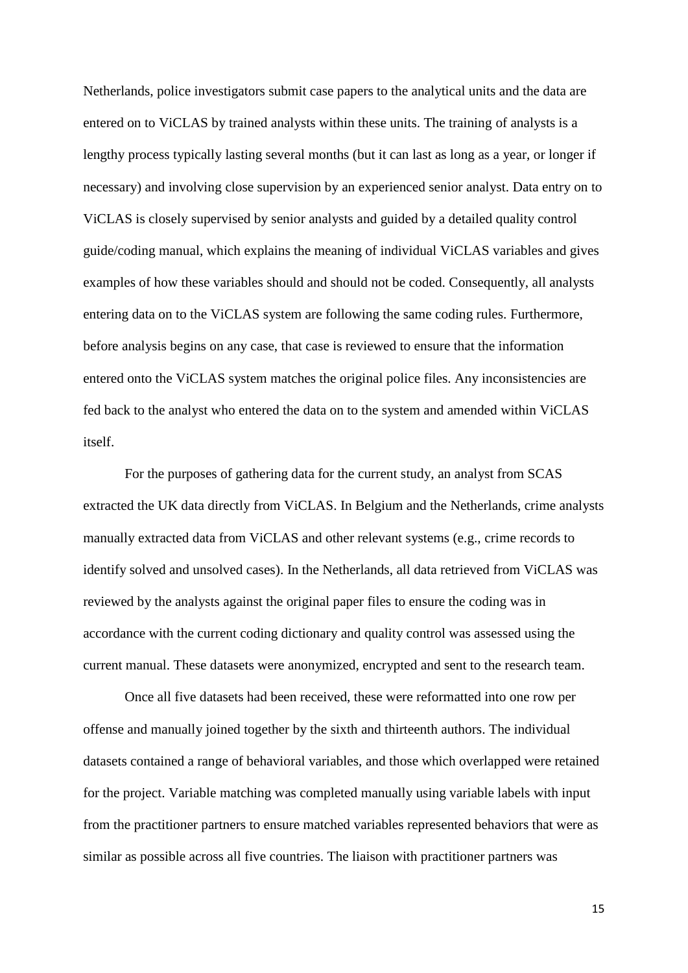Netherlands, police investigators submit case papers to the analytical units and the data are entered on to ViCLAS by trained analysts within these units. The training of analysts is a lengthy process typically lasting several months (but it can last as long as a year, or longer if necessary) and involving close supervision by an experienced senior analyst. Data entry on to ViCLAS is closely supervised by senior analysts and guided by a detailed quality control guide/coding manual, which explains the meaning of individual ViCLAS variables and gives examples of how these variables should and should not be coded. Consequently, all analysts entering data on to the ViCLAS system are following the same coding rules. Furthermore, before analysis begins on any case, that case is reviewed to ensure that the information entered onto the ViCLAS system matches the original police files. Any inconsistencies are fed back to the analyst who entered the data on to the system and amended within ViCLAS itself.

For the purposes of gathering data for the current study, an analyst from SCAS extracted the UK data directly from ViCLAS. In Belgium and the Netherlands, crime analysts manually extracted data from ViCLAS and other relevant systems (e.g., crime records to identify solved and unsolved cases). In the Netherlands, all data retrieved from ViCLAS was reviewed by the analysts against the original paper files to ensure the coding was in accordance with the current coding dictionary and quality control was assessed using the current manual. These datasets were anonymized, encrypted and sent to the research team.

Once all five datasets had been received, these were reformatted into one row per offense and manually joined together by the sixth and thirteenth authors. The individual datasets contained a range of behavioral variables, and those which overlapped were retained for the project. Variable matching was completed manually using variable labels with input from the practitioner partners to ensure matched variables represented behaviors that were as similar as possible across all five countries. The liaison with practitioner partners was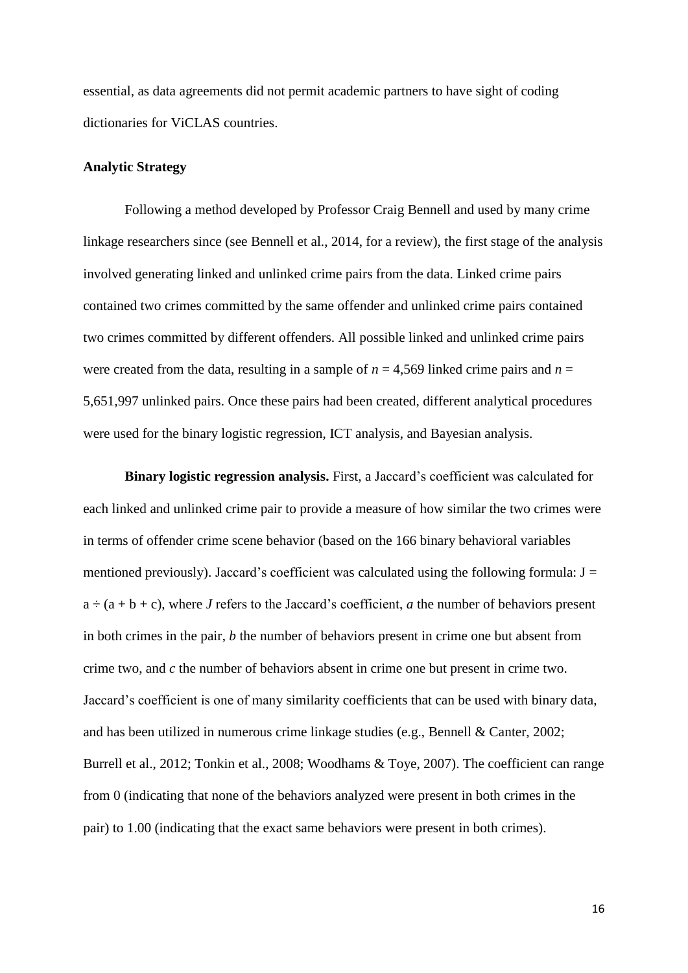essential, as data agreements did not permit academic partners to have sight of coding dictionaries for ViCLAS countries.

#### **Analytic Strategy**

Following a method developed by Professor Craig Bennell and used by many crime linkage researchers since (see Bennell et al., 2014, for a review), the first stage of the analysis involved generating linked and unlinked crime pairs from the data. Linked crime pairs contained two crimes committed by the same offender and unlinked crime pairs contained two crimes committed by different offenders. All possible linked and unlinked crime pairs were created from the data, resulting in a sample of  $n = 4.569$  linked crime pairs and  $n =$ 5,651,997 unlinked pairs. Once these pairs had been created, different analytical procedures were used for the binary logistic regression, ICT analysis, and Bayesian analysis.

**Binary logistic regression analysis.** First, a Jaccard's coefficient was calculated for each linked and unlinked crime pair to provide a measure of how similar the two crimes were in terms of offender crime scene behavior (based on the 166 binary behavioral variables mentioned previously). Jaccard's coefficient was calculated using the following formula:  $J =$  $a \div (a + b + c)$ , where *J* refers to the Jaccard's coefficient, *a* the number of behaviors present in both crimes in the pair, *b* the number of behaviors present in crime one but absent from crime two, and *c* the number of behaviors absent in crime one but present in crime two. Jaccard's coefficient is one of many similarity coefficients that can be used with binary data, and has been utilized in numerous crime linkage studies (e.g., Bennell & Canter, 2002; Burrell et al., 2012; Tonkin et al., 2008; Woodhams & Toye, 2007). The coefficient can range from 0 (indicating that none of the behaviors analyzed were present in both crimes in the pair) to 1.00 (indicating that the exact same behaviors were present in both crimes).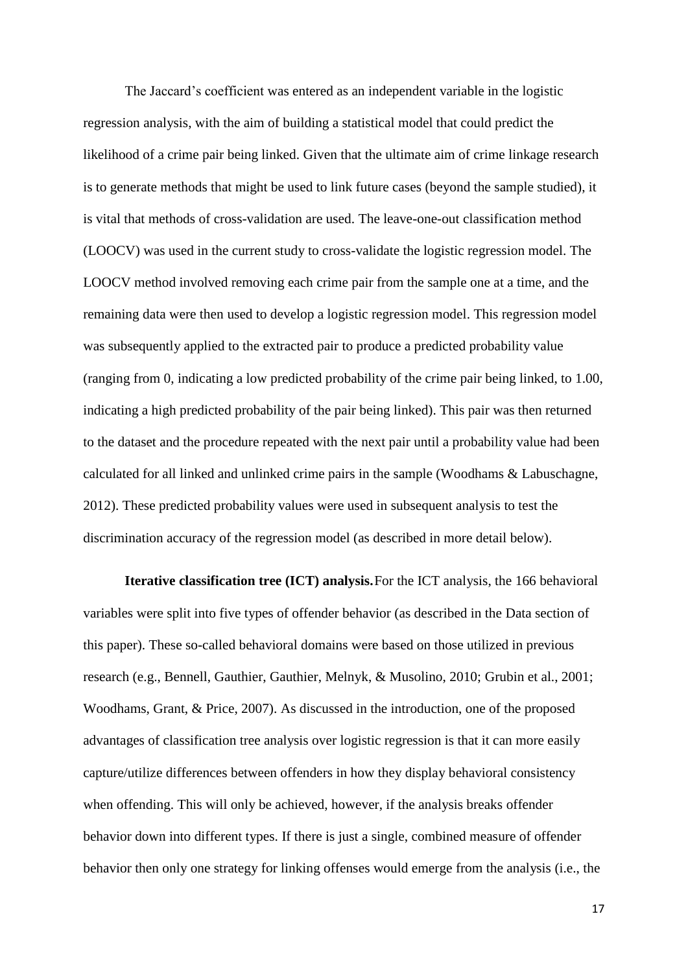The Jaccard's coefficient was entered as an independent variable in the logistic regression analysis, with the aim of building a statistical model that could predict the likelihood of a crime pair being linked. Given that the ultimate aim of crime linkage research is to generate methods that might be used to link future cases (beyond the sample studied), it is vital that methods of cross-validation are used. The leave-one-out classification method (LOOCV) was used in the current study to cross-validate the logistic regression model. The LOOCV method involved removing each crime pair from the sample one at a time, and the remaining data were then used to develop a logistic regression model. This regression model was subsequently applied to the extracted pair to produce a predicted probability value (ranging from 0, indicating a low predicted probability of the crime pair being linked, to 1.00, indicating a high predicted probability of the pair being linked). This pair was then returned to the dataset and the procedure repeated with the next pair until a probability value had been calculated for all linked and unlinked crime pairs in the sample (Woodhams & Labuschagne, 2012). These predicted probability values were used in subsequent analysis to test the discrimination accuracy of the regression model (as described in more detail below).

**Iterative classification tree (ICT) analysis.**For the ICT analysis, the 166 behavioral variables were split into five types of offender behavior (as described in the Data section of this paper). These so-called behavioral domains were based on those utilized in previous research (e.g., Bennell, Gauthier, Gauthier, Melnyk, & Musolino, 2010; Grubin et al., 2001; Woodhams, Grant, & Price, 2007). As discussed in the introduction, one of the proposed advantages of classification tree analysis over logistic regression is that it can more easily capture/utilize differences between offenders in how they display behavioral consistency when offending. This will only be achieved, however, if the analysis breaks offender behavior down into different types. If there is just a single, combined measure of offender behavior then only one strategy for linking offenses would emerge from the analysis (i.e., the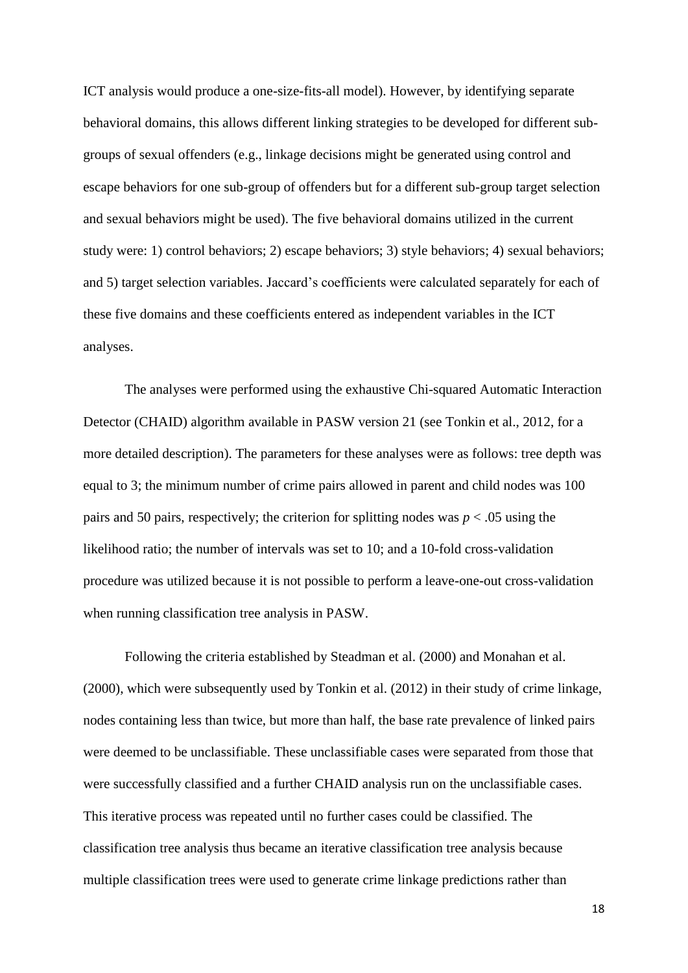ICT analysis would produce a one-size-fits-all model). However, by identifying separate behavioral domains, this allows different linking strategies to be developed for different subgroups of sexual offenders (e.g., linkage decisions might be generated using control and escape behaviors for one sub-group of offenders but for a different sub-group target selection and sexual behaviors might be used). The five behavioral domains utilized in the current study were: 1) control behaviors; 2) escape behaviors; 3) style behaviors; 4) sexual behaviors; and 5) target selection variables. Jaccard's coefficients were calculated separately for each of these five domains and these coefficients entered as independent variables in the ICT analyses.

The analyses were performed using the exhaustive Chi-squared Automatic Interaction Detector (CHAID) algorithm available in PASW version 21 (see Tonkin et al., 2012, for a more detailed description). The parameters for these analyses were as follows: tree depth was equal to 3; the minimum number of crime pairs allowed in parent and child nodes was 100 pairs and 50 pairs, respectively; the criterion for splitting nodes was  $p < .05$  using the likelihood ratio; the number of intervals was set to 10; and a 10-fold cross-validation procedure was utilized because it is not possible to perform a leave-one-out cross-validation when running classification tree analysis in PASW.

Following the criteria established by Steadman et al. (2000) and Monahan et al. (2000), which were subsequently used by Tonkin et al. (2012) in their study of crime linkage, nodes containing less than twice, but more than half, the base rate prevalence of linked pairs were deemed to be unclassifiable. These unclassifiable cases were separated from those that were successfully classified and a further CHAID analysis run on the unclassifiable cases. This iterative process was repeated until no further cases could be classified. The classification tree analysis thus became an iterative classification tree analysis because multiple classification trees were used to generate crime linkage predictions rather than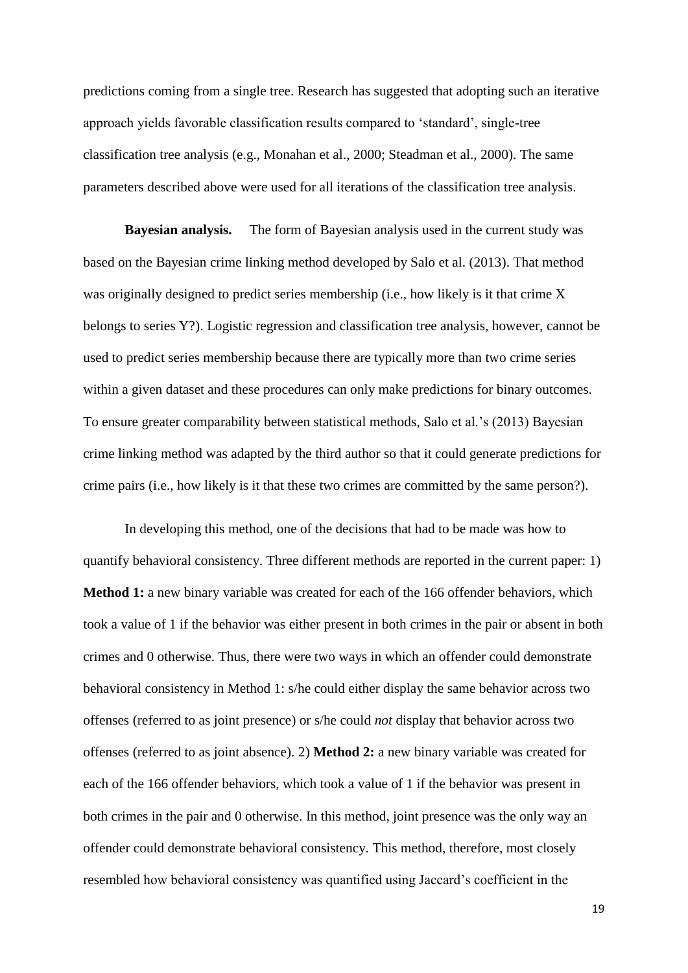predictions coming from a single tree. Research has suggested that adopting such an iterative approach yields favorable classification results compared to 'standard', single-tree classification tree analysis (e.g., Monahan et al., 2000; Steadman et al., 2000). The same parameters described above were used for all iterations of the classification tree analysis.

**Bayesian analysis.** The form of Bayesian analysis used in the current study was based on the Bayesian crime linking method developed by Salo et al. (2013). That method was originally designed to predict series membership (i.e., how likely is it that crime X belongs to series Y?). Logistic regression and classification tree analysis, however, cannot be used to predict series membership because there are typically more than two crime series within a given dataset and these procedures can only make predictions for binary outcomes. To ensure greater comparability between statistical methods, Salo et al.'s (2013) Bayesian crime linking method was adapted by the third author so that it could generate predictions for crime pairs (i.e., how likely is it that these two crimes are committed by the same person?).

In developing this method, one of the decisions that had to be made was how to quantify behavioral consistency. Three different methods are reported in the current paper: 1) **Method 1:** a new binary variable was created for each of the 166 offender behaviors, which took a value of 1 if the behavior was either present in both crimes in the pair or absent in both crimes and 0 otherwise. Thus, there were two ways in which an offender could demonstrate behavioral consistency in Method 1: s/he could either display the same behavior across two offenses (referred to as joint presence) or s/he could *not* display that behavior across two offenses (referred to as joint absence). 2) **Method 2:** a new binary variable was created for each of the 166 offender behaviors, which took a value of 1 if the behavior was present in both crimes in the pair and 0 otherwise. In this method, joint presence was the only way an offender could demonstrate behavioral consistency. This method, therefore, most closely resembled how behavioral consistency was quantified using Jaccard's coefficient in the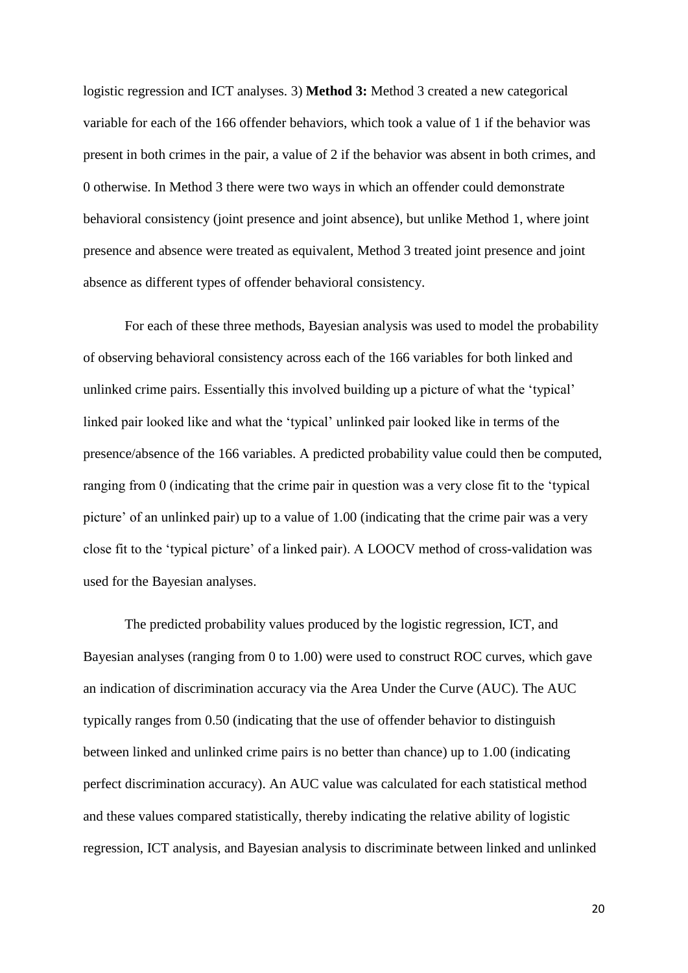logistic regression and ICT analyses. 3) **Method 3:** Method 3 created a new categorical variable for each of the 166 offender behaviors, which took a value of 1 if the behavior was present in both crimes in the pair, a value of 2 if the behavior was absent in both crimes, and 0 otherwise. In Method 3 there were two ways in which an offender could demonstrate behavioral consistency (joint presence and joint absence), but unlike Method 1, where joint presence and absence were treated as equivalent, Method 3 treated joint presence and joint absence as different types of offender behavioral consistency.

For each of these three methods, Bayesian analysis was used to model the probability of observing behavioral consistency across each of the 166 variables for both linked and unlinked crime pairs. Essentially this involved building up a picture of what the 'typical' linked pair looked like and what the 'typical' unlinked pair looked like in terms of the presence/absence of the 166 variables. A predicted probability value could then be computed, ranging from 0 (indicating that the crime pair in question was a very close fit to the 'typical picture' of an unlinked pair) up to a value of 1.00 (indicating that the crime pair was a very close fit to the 'typical picture' of a linked pair). A LOOCV method of cross-validation was used for the Bayesian analyses.

The predicted probability values produced by the logistic regression, ICT, and Bayesian analyses (ranging from 0 to 1.00) were used to construct ROC curves, which gave an indication of discrimination accuracy via the Area Under the Curve (AUC). The AUC typically ranges from 0.50 (indicating that the use of offender behavior to distinguish between linked and unlinked crime pairs is no better than chance) up to 1.00 (indicating perfect discrimination accuracy). An AUC value was calculated for each statistical method and these values compared statistically, thereby indicating the relative ability of logistic regression, ICT analysis, and Bayesian analysis to discriminate between linked and unlinked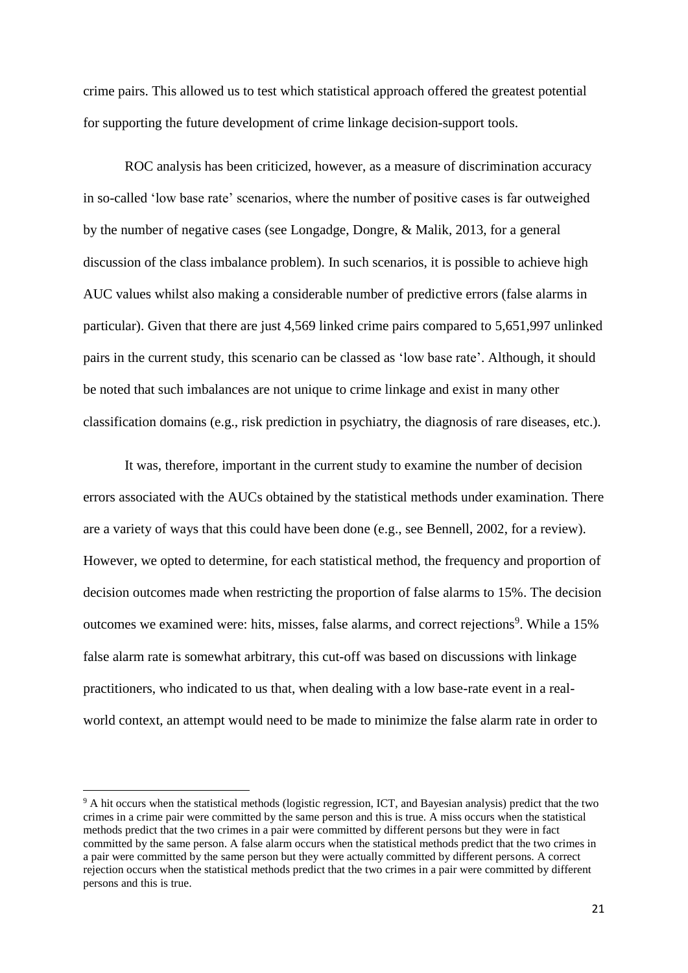crime pairs. This allowed us to test which statistical approach offered the greatest potential for supporting the future development of crime linkage decision-support tools.

ROC analysis has been criticized, however, as a measure of discrimination accuracy in so-called 'low base rate' scenarios, where the number of positive cases is far outweighed by the number of negative cases (see Longadge, Dongre, & Malik, 2013, for a general discussion of the class imbalance problem). In such scenarios, it is possible to achieve high AUC values whilst also making a considerable number of predictive errors (false alarms in particular). Given that there are just 4,569 linked crime pairs compared to 5,651,997 unlinked pairs in the current study, this scenario can be classed as 'low base rate'. Although, it should be noted that such imbalances are not unique to crime linkage and exist in many other classification domains (e.g., risk prediction in psychiatry, the diagnosis of rare diseases, etc.).

It was, therefore, important in the current study to examine the number of decision errors associated with the AUCs obtained by the statistical methods under examination. There are a variety of ways that this could have been done (e.g., see Bennell, 2002, for a review). However, we opted to determine, for each statistical method, the frequency and proportion of decision outcomes made when restricting the proportion of false alarms to 15%. The decision outcomes we examined were: hits, misses, false alarms, and correct rejections<sup>9</sup>. While a 15% false alarm rate is somewhat arbitrary, this cut-off was based on discussions with linkage practitioners, who indicated to us that, when dealing with a low base-rate event in a realworld context, an attempt would need to be made to minimize the false alarm rate in order to

<sup>9</sup> A hit occurs when the statistical methods (logistic regression, ICT, and Bayesian analysis) predict that the two crimes in a crime pair were committed by the same person and this is true. A miss occurs when the statistical methods predict that the two crimes in a pair were committed by different persons but they were in fact committed by the same person. A false alarm occurs when the statistical methods predict that the two crimes in a pair were committed by the same person but they were actually committed by different persons. A correct rejection occurs when the statistical methods predict that the two crimes in a pair were committed by different persons and this is true.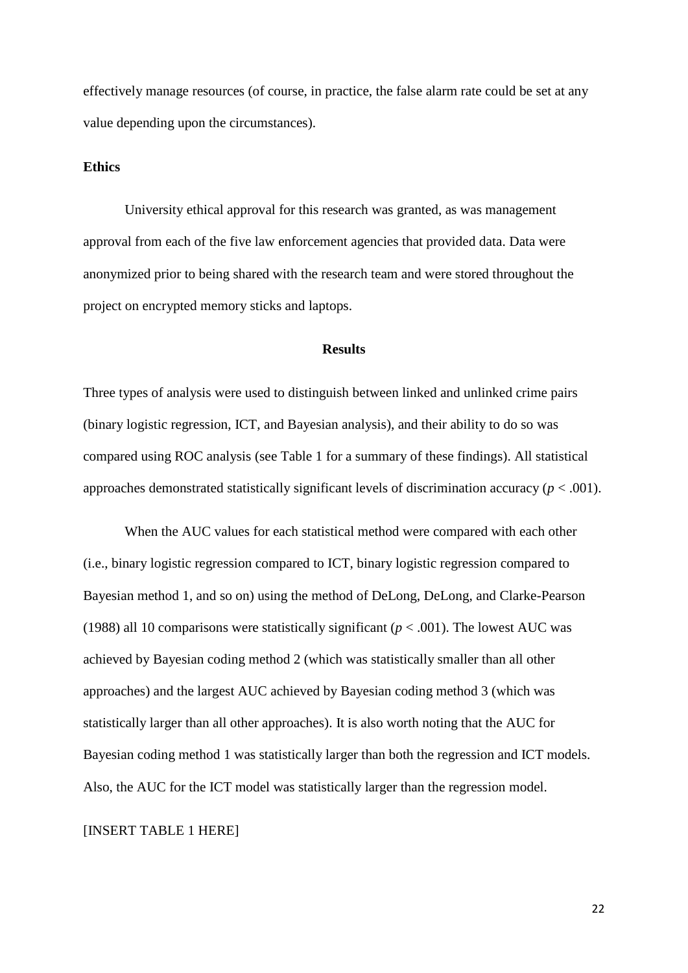effectively manage resources (of course, in practice, the false alarm rate could be set at any value depending upon the circumstances).

#### **Ethics**

University ethical approval for this research was granted, as was management approval from each of the five law enforcement agencies that provided data. Data were anonymized prior to being shared with the research team and were stored throughout the project on encrypted memory sticks and laptops.

#### **Results**

Three types of analysis were used to distinguish between linked and unlinked crime pairs (binary logistic regression, ICT, and Bayesian analysis), and their ability to do so was compared using ROC analysis (see Table 1 for a summary of these findings). All statistical approaches demonstrated statistically significant levels of discrimination accuracy ( $p < .001$ ).

When the AUC values for each statistical method were compared with each other (i.e., binary logistic regression compared to ICT, binary logistic regression compared to Bayesian method 1, and so on) using the method of DeLong, DeLong, and Clarke-Pearson (1988) all 10 comparisons were statistically significant ( $p < .001$ ). The lowest AUC was achieved by Bayesian coding method 2 (which was statistically smaller than all other approaches) and the largest AUC achieved by Bayesian coding method 3 (which was statistically larger than all other approaches). It is also worth noting that the AUC for Bayesian coding method 1 was statistically larger than both the regression and ICT models. Also, the AUC for the ICT model was statistically larger than the regression model.

#### [INSERT TABLE 1 HERE]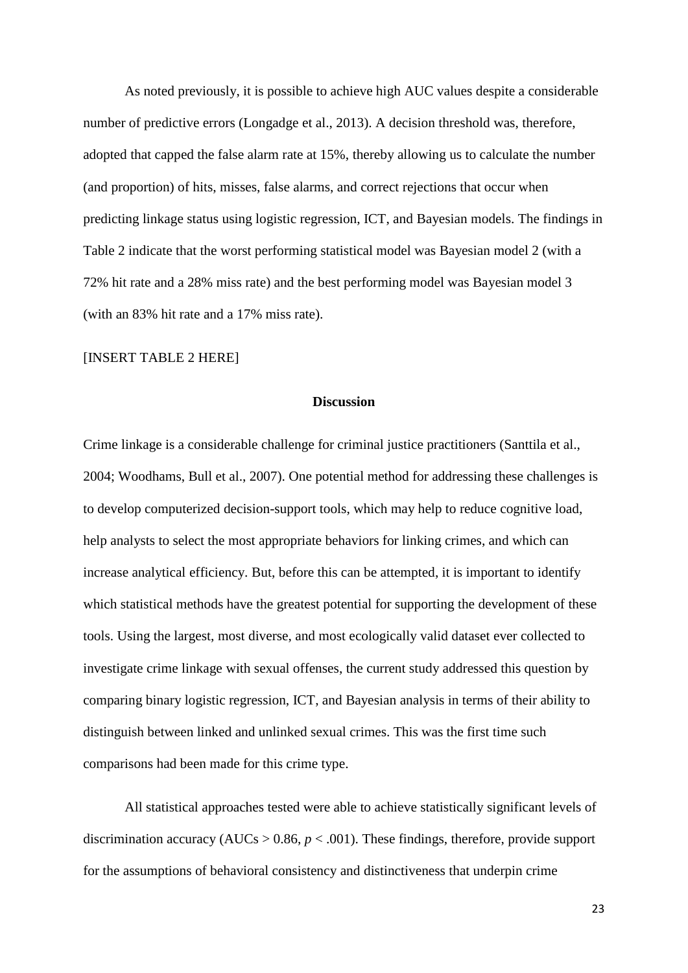As noted previously, it is possible to achieve high AUC values despite a considerable number of predictive errors (Longadge et al., 2013). A decision threshold was, therefore, adopted that capped the false alarm rate at 15%, thereby allowing us to calculate the number (and proportion) of hits, misses, false alarms, and correct rejections that occur when predicting linkage status using logistic regression, ICT, and Bayesian models. The findings in Table 2 indicate that the worst performing statistical model was Bayesian model 2 (with a 72% hit rate and a 28% miss rate) and the best performing model was Bayesian model 3 (with an 83% hit rate and a 17% miss rate).

#### [INSERT TABLE 2 HERE]

#### **Discussion**

Crime linkage is a considerable challenge for criminal justice practitioners (Santtila et al., 2004; Woodhams, Bull et al., 2007). One potential method for addressing these challenges is to develop computerized decision-support tools, which may help to reduce cognitive load, help analysts to select the most appropriate behaviors for linking crimes, and which can increase analytical efficiency. But, before this can be attempted, it is important to identify which statistical methods have the greatest potential for supporting the development of these tools. Using the largest, most diverse, and most ecologically valid dataset ever collected to investigate crime linkage with sexual offenses, the current study addressed this question by comparing binary logistic regression, ICT, and Bayesian analysis in terms of their ability to distinguish between linked and unlinked sexual crimes. This was the first time such comparisons had been made for this crime type.

All statistical approaches tested were able to achieve statistically significant levels of discrimination accuracy (AUCs > 0.86,  $p < .001$ ). These findings, therefore, provide support for the assumptions of behavioral consistency and distinctiveness that underpin crime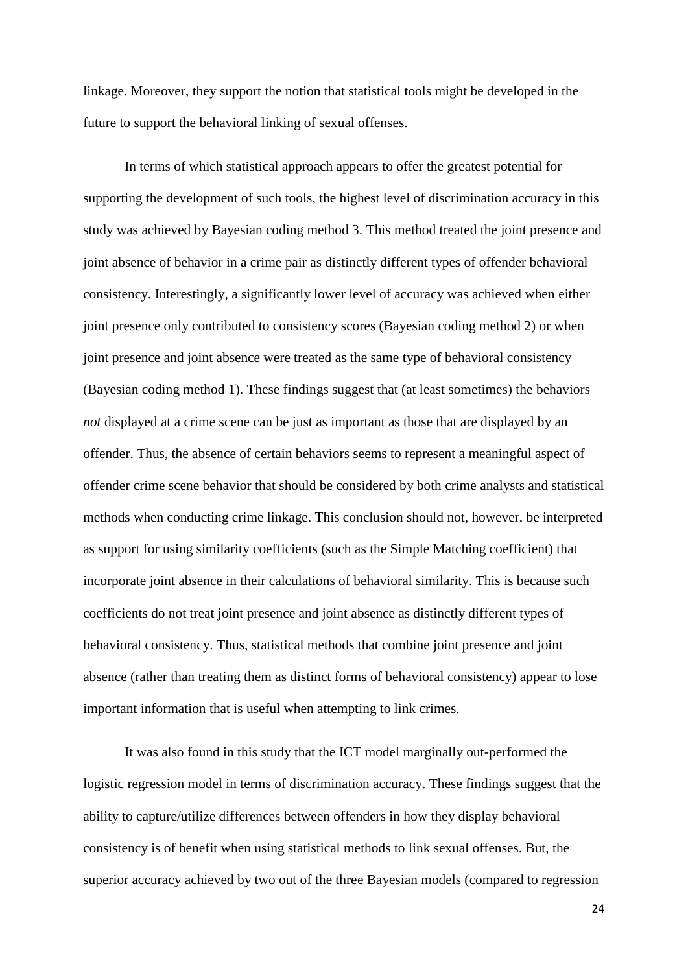linkage. Moreover, they support the notion that statistical tools might be developed in the future to support the behavioral linking of sexual offenses.

In terms of which statistical approach appears to offer the greatest potential for supporting the development of such tools, the highest level of discrimination accuracy in this study was achieved by Bayesian coding method 3. This method treated the joint presence and joint absence of behavior in a crime pair as distinctly different types of offender behavioral consistency. Interestingly, a significantly lower level of accuracy was achieved when either joint presence only contributed to consistency scores (Bayesian coding method 2) or when joint presence and joint absence were treated as the same type of behavioral consistency (Bayesian coding method 1). These findings suggest that (at least sometimes) the behaviors *not* displayed at a crime scene can be just as important as those that are displayed by an offender. Thus, the absence of certain behaviors seems to represent a meaningful aspect of offender crime scene behavior that should be considered by both crime analysts and statistical methods when conducting crime linkage. This conclusion should not, however, be interpreted as support for using similarity coefficients (such as the Simple Matching coefficient) that incorporate joint absence in their calculations of behavioral similarity. This is because such coefficients do not treat joint presence and joint absence as distinctly different types of behavioral consistency. Thus, statistical methods that combine joint presence and joint absence (rather than treating them as distinct forms of behavioral consistency) appear to lose important information that is useful when attempting to link crimes.

It was also found in this study that the ICT model marginally out-performed the logistic regression model in terms of discrimination accuracy. These findings suggest that the ability to capture/utilize differences between offenders in how they display behavioral consistency is of benefit when using statistical methods to link sexual offenses. But, the superior accuracy achieved by two out of the three Bayesian models (compared to regression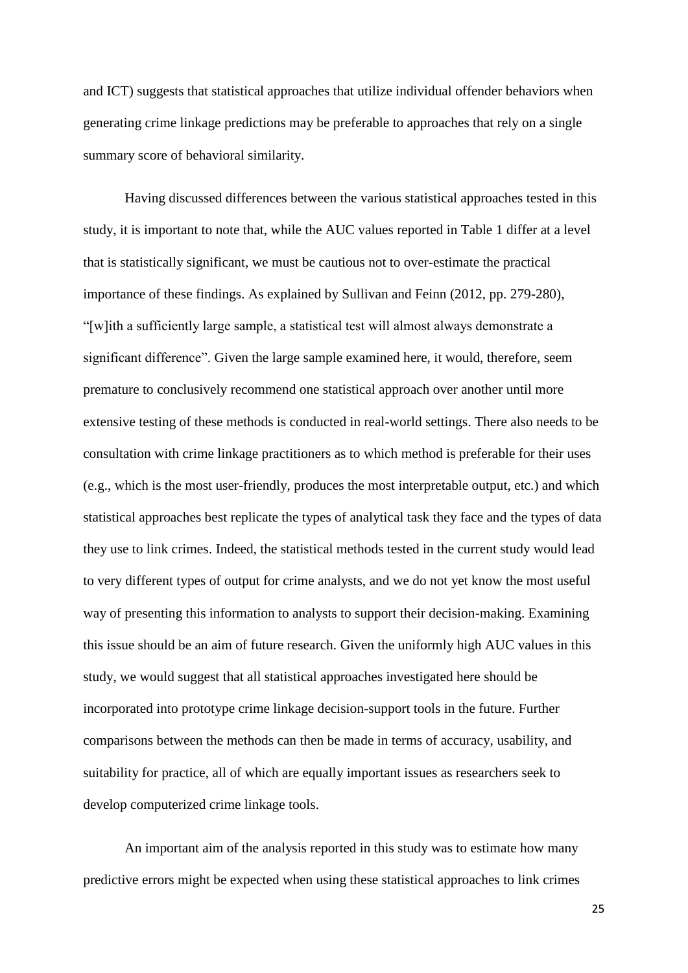and ICT) suggests that statistical approaches that utilize individual offender behaviors when generating crime linkage predictions may be preferable to approaches that rely on a single summary score of behavioral similarity.

Having discussed differences between the various statistical approaches tested in this study, it is important to note that, while the AUC values reported in Table 1 differ at a level that is statistically significant, we must be cautious not to over-estimate the practical importance of these findings. As explained by Sullivan and Feinn (2012, pp. 279-280), "[w]ith a sufficiently large sample, a statistical test will almost always demonstrate a significant difference". Given the large sample examined here, it would, therefore, seem premature to conclusively recommend one statistical approach over another until more extensive testing of these methods is conducted in real-world settings. There also needs to be consultation with crime linkage practitioners as to which method is preferable for their uses (e.g., which is the most user-friendly, produces the most interpretable output, etc.) and which statistical approaches best replicate the types of analytical task they face and the types of data they use to link crimes. Indeed, the statistical methods tested in the current study would lead to very different types of output for crime analysts, and we do not yet know the most useful way of presenting this information to analysts to support their decision-making. Examining this issue should be an aim of future research. Given the uniformly high AUC values in this study, we would suggest that all statistical approaches investigated here should be incorporated into prototype crime linkage decision-support tools in the future. Further comparisons between the methods can then be made in terms of accuracy, usability, and suitability for practice, all of which are equally important issues as researchers seek to develop computerized crime linkage tools.

An important aim of the analysis reported in this study was to estimate how many predictive errors might be expected when using these statistical approaches to link crimes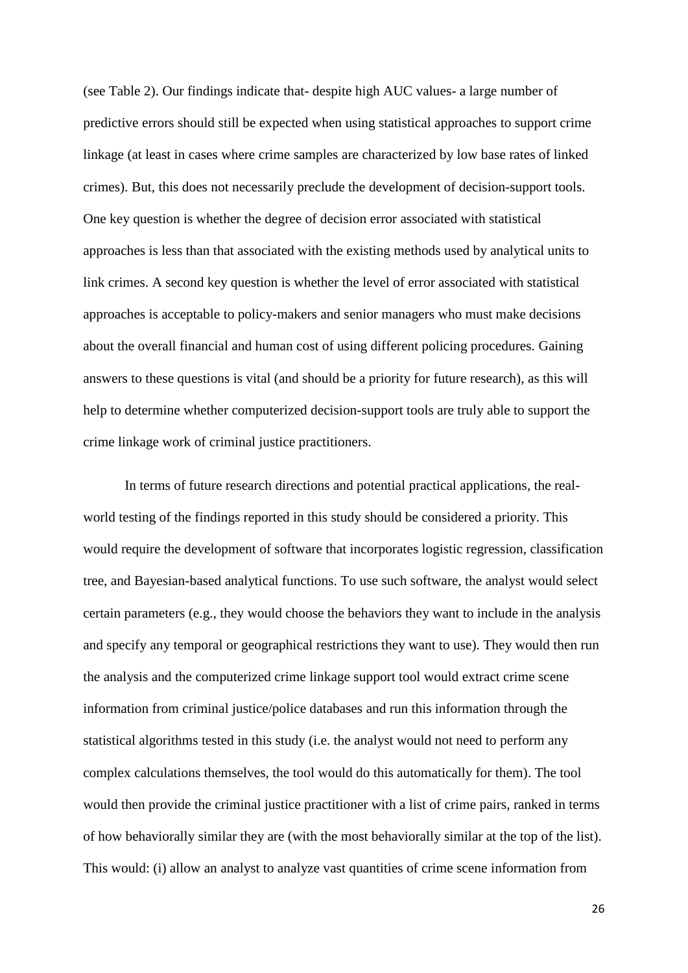(see Table 2). Our findings indicate that- despite high AUC values- a large number of predictive errors should still be expected when using statistical approaches to support crime linkage (at least in cases where crime samples are characterized by low base rates of linked crimes). But, this does not necessarily preclude the development of decision-support tools. One key question is whether the degree of decision error associated with statistical approaches is less than that associated with the existing methods used by analytical units to link crimes. A second key question is whether the level of error associated with statistical approaches is acceptable to policy-makers and senior managers who must make decisions about the overall financial and human cost of using different policing procedures. Gaining answers to these questions is vital (and should be a priority for future research), as this will help to determine whether computerized decision-support tools are truly able to support the crime linkage work of criminal justice practitioners.

In terms of future research directions and potential practical applications, the realworld testing of the findings reported in this study should be considered a priority. This would require the development of software that incorporates logistic regression, classification tree, and Bayesian-based analytical functions. To use such software, the analyst would select certain parameters (e.g., they would choose the behaviors they want to include in the analysis and specify any temporal or geographical restrictions they want to use). They would then run the analysis and the computerized crime linkage support tool would extract crime scene information from criminal justice/police databases and run this information through the statistical algorithms tested in this study (i.e. the analyst would not need to perform any complex calculations themselves, the tool would do this automatically for them). The tool would then provide the criminal justice practitioner with a list of crime pairs, ranked in terms of how behaviorally similar they are (with the most behaviorally similar at the top of the list). This would: (i) allow an analyst to analyze vast quantities of crime scene information from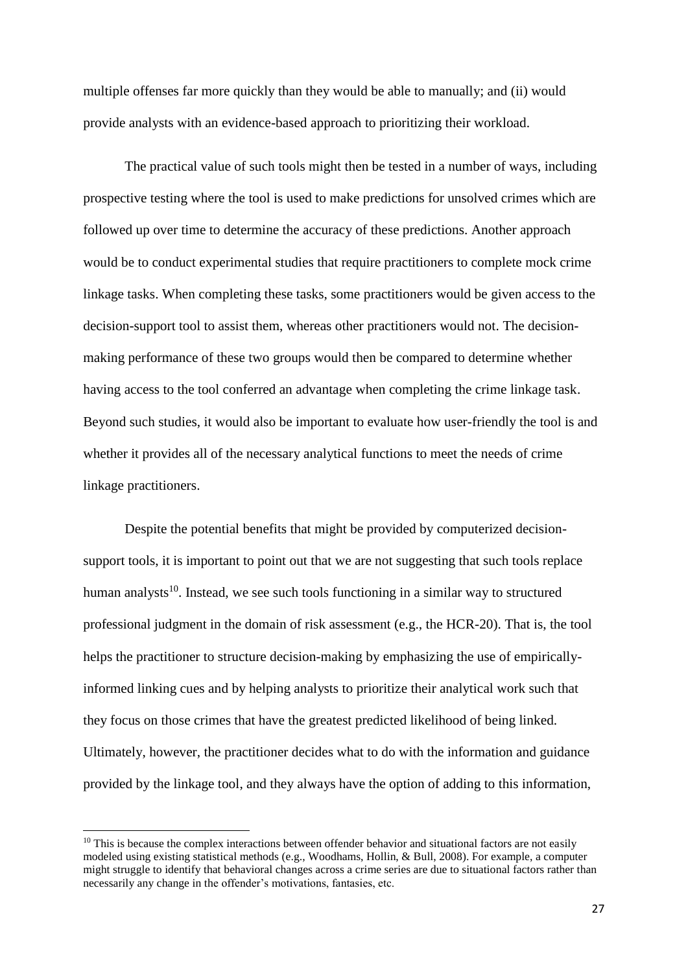multiple offenses far more quickly than they would be able to manually; and (ii) would provide analysts with an evidence-based approach to prioritizing their workload.

The practical value of such tools might then be tested in a number of ways, including prospective testing where the tool is used to make predictions for unsolved crimes which are followed up over time to determine the accuracy of these predictions. Another approach would be to conduct experimental studies that require practitioners to complete mock crime linkage tasks. When completing these tasks, some practitioners would be given access to the decision-support tool to assist them, whereas other practitioners would not. The decisionmaking performance of these two groups would then be compared to determine whether having access to the tool conferred an advantage when completing the crime linkage task. Beyond such studies, it would also be important to evaluate how user-friendly the tool is and whether it provides all of the necessary analytical functions to meet the needs of crime linkage practitioners.

Despite the potential benefits that might be provided by computerized decisionsupport tools, it is important to point out that we are not suggesting that such tools replace human analysts $10$ . Instead, we see such tools functioning in a similar way to structured professional judgment in the domain of risk assessment (e.g., the HCR-20). That is, the tool helps the practitioner to structure decision-making by emphasizing the use of empiricallyinformed linking cues and by helping analysts to prioritize their analytical work such that they focus on those crimes that have the greatest predicted likelihood of being linked. Ultimately, however, the practitioner decides what to do with the information and guidance provided by the linkage tool, and they always have the option of adding to this information,

 $10$  This is because the complex interactions between offender behavior and situational factors are not easily modeled using existing statistical methods (e.g., Woodhams, Hollin, & Bull, 2008). For example, a computer might struggle to identify that behavioral changes across a crime series are due to situational factors rather than necessarily any change in the offender's motivations, fantasies, etc.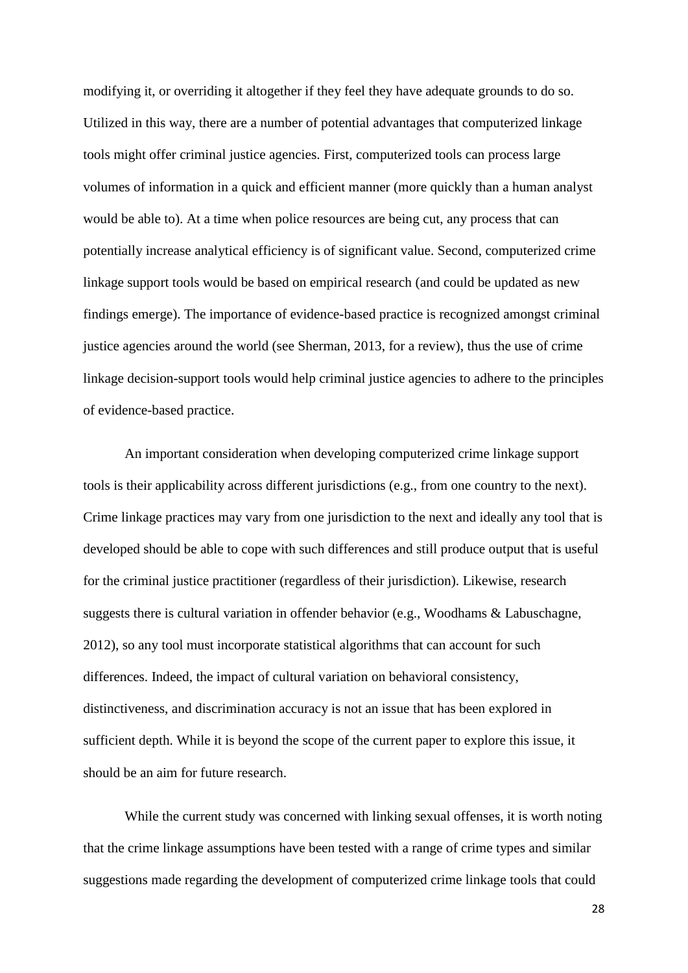modifying it, or overriding it altogether if they feel they have adequate grounds to do so. Utilized in this way, there are a number of potential advantages that computerized linkage tools might offer criminal justice agencies. First, computerized tools can process large volumes of information in a quick and efficient manner (more quickly than a human analyst would be able to). At a time when police resources are being cut, any process that can potentially increase analytical efficiency is of significant value. Second, computerized crime linkage support tools would be based on empirical research (and could be updated as new findings emerge). The importance of evidence-based practice is recognized amongst criminal justice agencies around the world (see Sherman, 2013, for a review), thus the use of crime linkage decision-support tools would help criminal justice agencies to adhere to the principles of evidence-based practice.

An important consideration when developing computerized crime linkage support tools is their applicability across different jurisdictions (e.g., from one country to the next). Crime linkage practices may vary from one jurisdiction to the next and ideally any tool that is developed should be able to cope with such differences and still produce output that is useful for the criminal justice practitioner (regardless of their jurisdiction). Likewise, research suggests there is cultural variation in offender behavior (e.g., Woodhams & Labuschagne, 2012), so any tool must incorporate statistical algorithms that can account for such differences. Indeed, the impact of cultural variation on behavioral consistency, distinctiveness, and discrimination accuracy is not an issue that has been explored in sufficient depth. While it is beyond the scope of the current paper to explore this issue, it should be an aim for future research.

While the current study was concerned with linking sexual offenses, it is worth noting that the crime linkage assumptions have been tested with a range of crime types and similar suggestions made regarding the development of computerized crime linkage tools that could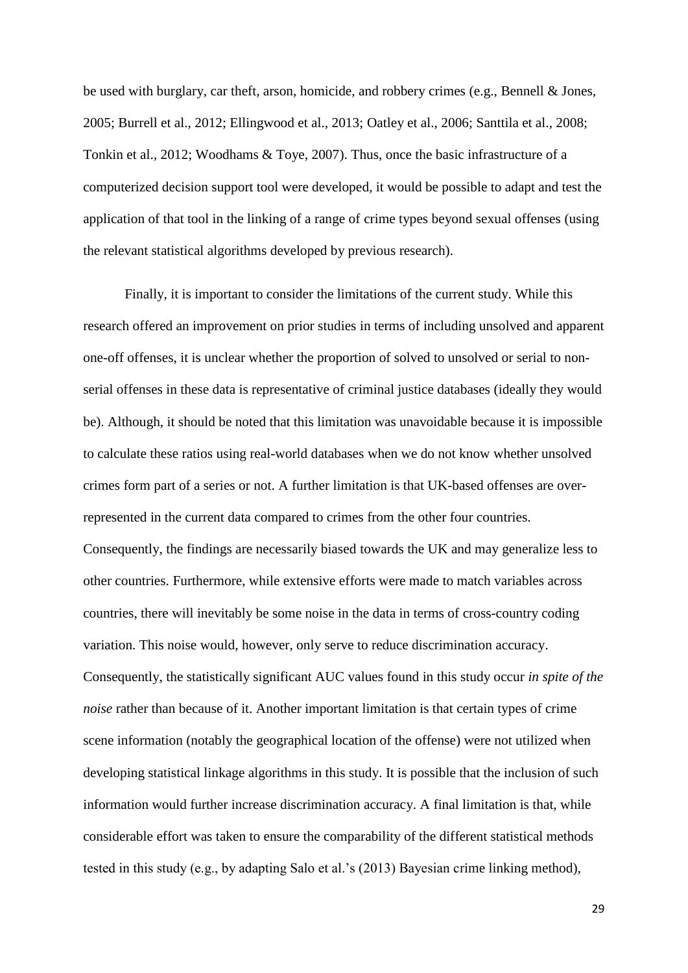be used with burglary, car theft, arson, homicide, and robbery crimes (e.g., Bennell & Jones, 2005; Burrell et al., 2012; Ellingwood et al., 2013; Oatley et al., 2006; Santtila et al., 2008; Tonkin et al., 2012; Woodhams & Toye, 2007). Thus, once the basic infrastructure of a computerized decision support tool were developed, it would be possible to adapt and test the application of that tool in the linking of a range of crime types beyond sexual offenses (using the relevant statistical algorithms developed by previous research).

Finally, it is important to consider the limitations of the current study. While this research offered an improvement on prior studies in terms of including unsolved and apparent one-off offenses, it is unclear whether the proportion of solved to unsolved or serial to nonserial offenses in these data is representative of criminal justice databases (ideally they would be). Although, it should be noted that this limitation was unavoidable because it is impossible to calculate these ratios using real-world databases when we do not know whether unsolved crimes form part of a series or not. A further limitation is that UK-based offenses are overrepresented in the current data compared to crimes from the other four countries. Consequently, the findings are necessarily biased towards the UK and may generalize less to other countries. Furthermore, while extensive efforts were made to match variables across countries, there will inevitably be some noise in the data in terms of cross-country coding variation. This noise would, however, only serve to reduce discrimination accuracy. Consequently, the statistically significant AUC values found in this study occur *in spite of the noise* rather than because of it. Another important limitation is that certain types of crime scene information (notably the geographical location of the offense) were not utilized when developing statistical linkage algorithms in this study. It is possible that the inclusion of such information would further increase discrimination accuracy. A final limitation is that, while considerable effort was taken to ensure the comparability of the different statistical methods tested in this study (e.g., by adapting Salo et al.'s (2013) Bayesian crime linking method),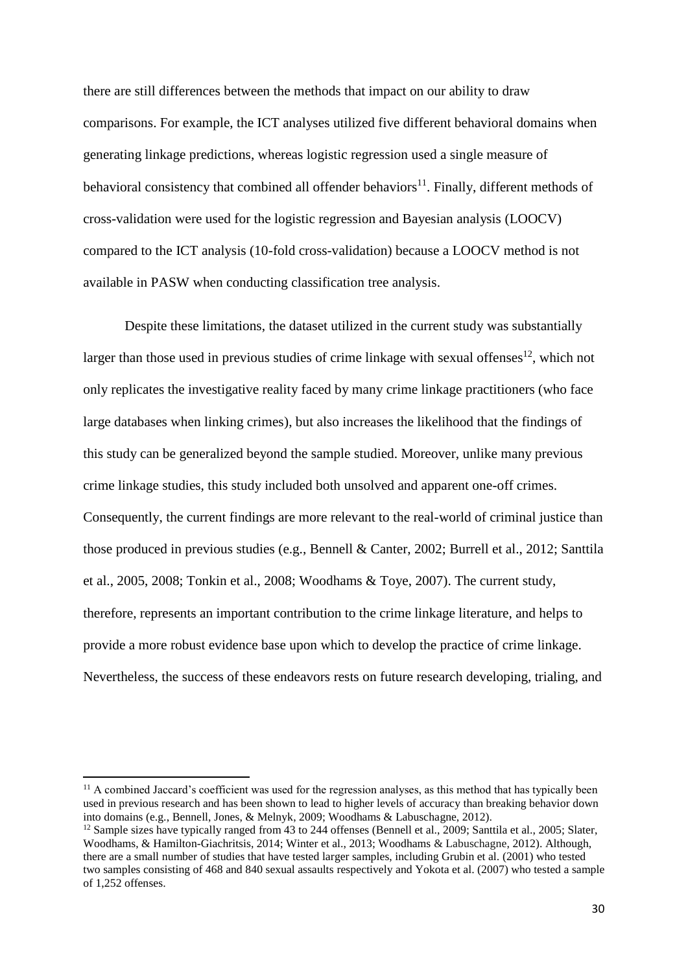there are still differences between the methods that impact on our ability to draw comparisons. For example, the ICT analyses utilized five different behavioral domains when generating linkage predictions, whereas logistic regression used a single measure of behavioral consistency that combined all offender behaviors<sup>11</sup>. Finally, different methods of cross-validation were used for the logistic regression and Bayesian analysis (LOOCV) compared to the ICT analysis (10-fold cross-validation) because a LOOCV method is not available in PASW when conducting classification tree analysis.

Despite these limitations, the dataset utilized in the current study was substantially larger than those used in previous studies of crime linkage with sexual offenses<sup>12</sup>, which not only replicates the investigative reality faced by many crime linkage practitioners (who face large databases when linking crimes), but also increases the likelihood that the findings of this study can be generalized beyond the sample studied. Moreover, unlike many previous crime linkage studies, this study included both unsolved and apparent one-off crimes. Consequently, the current findings are more relevant to the real-world of criminal justice than those produced in previous studies (e.g., Bennell & Canter, 2002; Burrell et al., 2012; Santtila et al., 2005, 2008; Tonkin et al., 2008; Woodhams & Toye, 2007). The current study, therefore, represents an important contribution to the crime linkage literature, and helps to provide a more robust evidence base upon which to develop the practice of crime linkage. Nevertheless, the success of these endeavors rests on future research developing, trialing, and

 $11$  A combined Jaccard's coefficient was used for the regression analyses, as this method that has typically been used in previous research and has been shown to lead to higher levels of accuracy than breaking behavior down into domains (e.g., Bennell, Jones, & Melnyk, 2009; Woodhams & Labuschagne, 2012).

<sup>&</sup>lt;sup>12</sup> Sample sizes have typically ranged from 43 to 244 offenses (Bennell et al., 2009; Santtila et al., 2005; Slater, Woodhams, & Hamilton-Giachritsis, 2014; Winter et al., 2013; Woodhams & Labuschagne, 2012). Although, there are a small number of studies that have tested larger samples, including Grubin et al. (2001) who tested two samples consisting of 468 and 840 sexual assaults respectively and Yokota et al. (2007) who tested a sample of 1,252 offenses.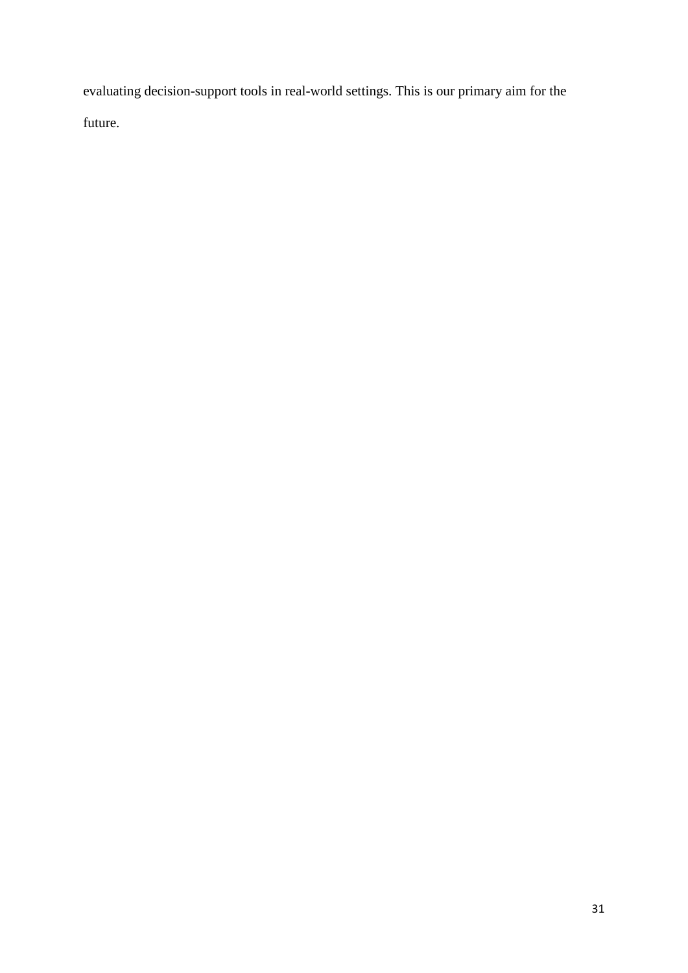evaluating decision-support tools in real-world settings. This is our primary aim for the future.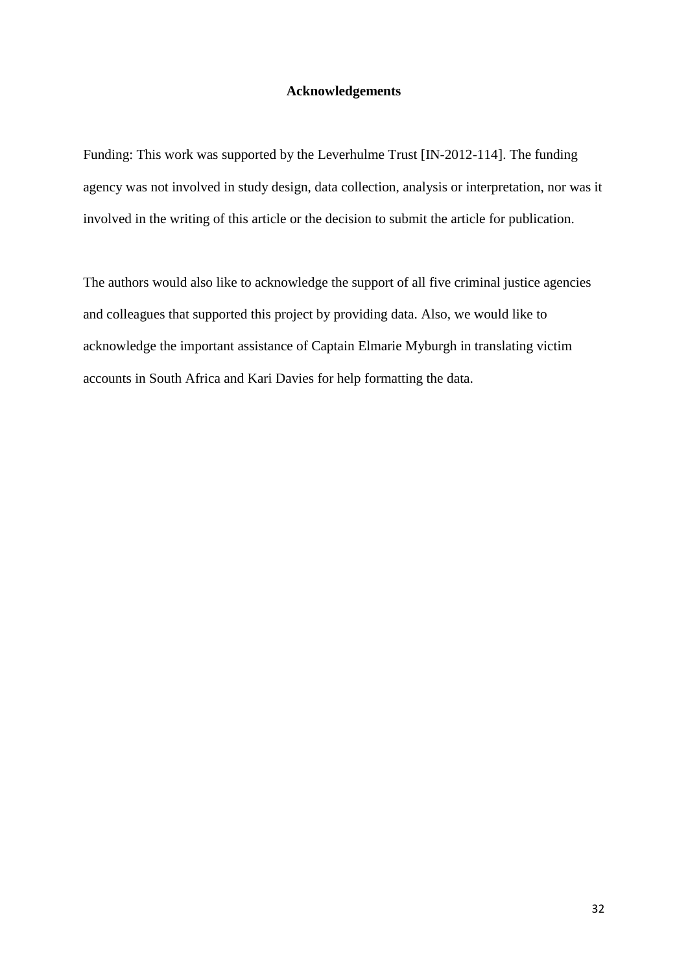#### **Acknowledgements**

Funding: This work was supported by the Leverhulme Trust [IN-2012-114]. The funding agency was not involved in study design, data collection, analysis or interpretation, nor was it involved in the writing of this article or the decision to submit the article for publication.

The authors would also like to acknowledge the support of all five criminal justice agencies and colleagues that supported this project by providing data. Also, we would like to acknowledge the important assistance of Captain Elmarie Myburgh in translating victim accounts in South Africa and Kari Davies for help formatting the data.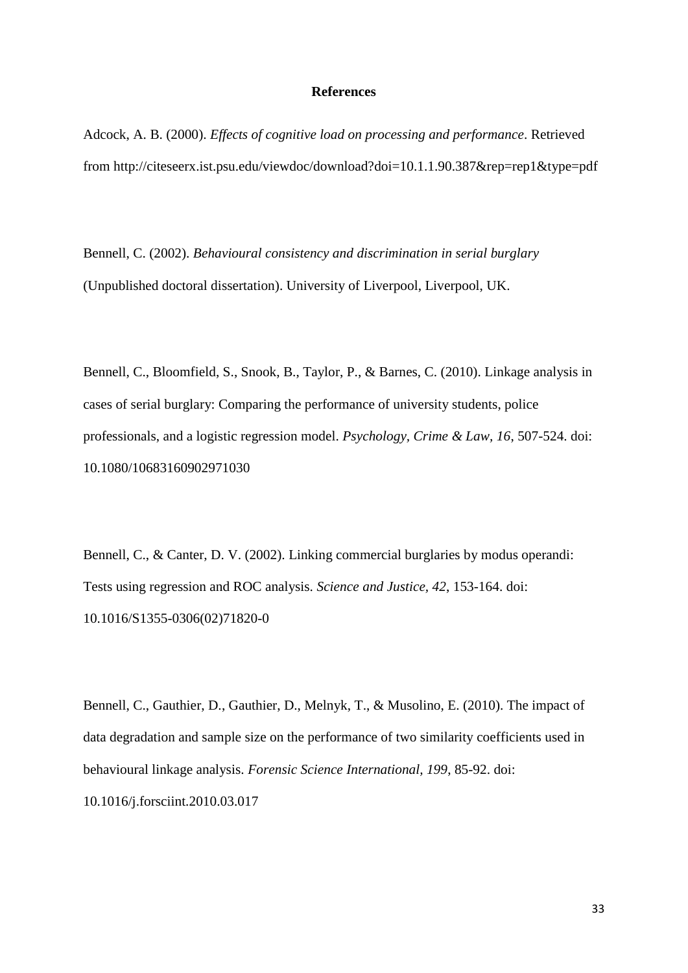#### **References**

Adcock, A. B. (2000). *Effects of cognitive load on processing and performance*. Retrieved from http://citeseerx.ist.psu.edu/viewdoc/download?doi=10.1.1.90.387&rep=rep1&type=pdf

Bennell, C. (2002). *Behavioural consistency and discrimination in serial burglary* (Unpublished doctoral dissertation). University of Liverpool, Liverpool, UK.

Bennell, C., Bloomfield, S., Snook, B., Taylor, P., & Barnes, C. (2010). Linkage analysis in cases of serial burglary: Comparing the performance of university students, police professionals, and a logistic regression model. *Psychology, Crime & Law, 16*, 507-524. doi: 10.1080/10683160902971030

Bennell, C., & Canter, D. V. (2002). Linking commercial burglaries by modus operandi: Tests using regression and ROC analysis. *Science and Justice, 42*, 153-164. doi: 10.1016/S1355-0306(02)71820-0

Bennell, C., Gauthier, D., Gauthier, D., Melnyk, T., & Musolino, E. (2010). The impact of data degradation and sample size on the performance of two similarity coefficients used in behavioural linkage analysis. *Forensic Science International, 199*, 85-92. doi: 10.1016/j.forsciint.2010.03.017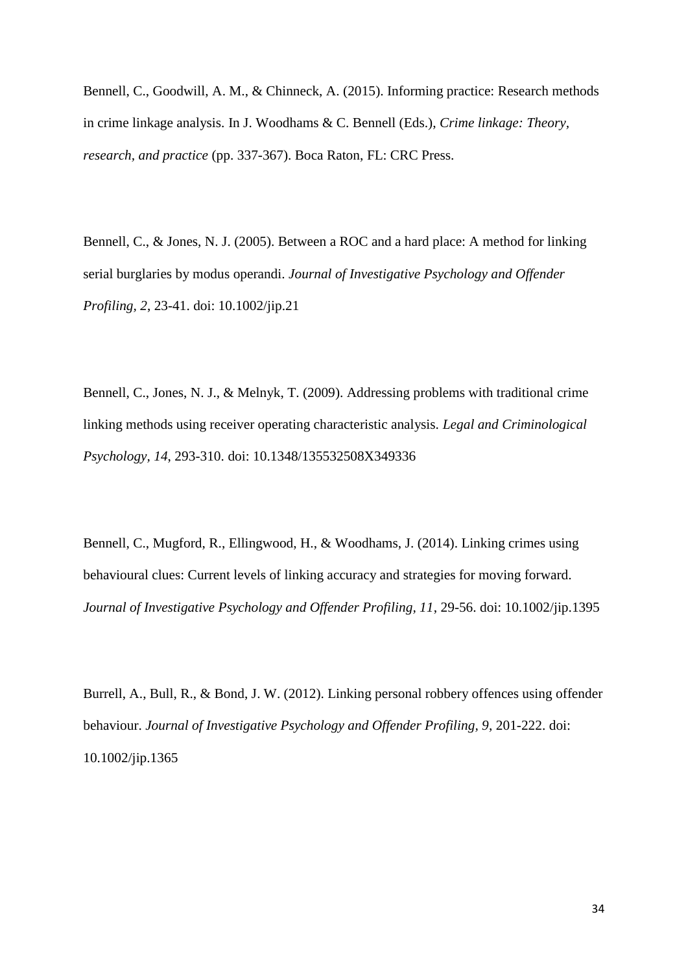Bennell, C., Goodwill, A. M., & Chinneck, A. (2015). Informing practice: Research methods in crime linkage analysis. In J. Woodhams & C. Bennell (Eds.), *Crime linkage: Theory, research, and practice* (pp. 337-367). Boca Raton, FL: CRC Press.

Bennell, C., & Jones, N. J. (2005). Between a ROC and a hard place: A method for linking serial burglaries by modus operandi. *Journal of Investigative Psychology and Offender Profiling, 2*, 23-41. doi: 10.1002/jip.21

Bennell, C., Jones, N. J., & Melnyk, T. (2009). Addressing problems with traditional crime linking methods using receiver operating characteristic analysis. *Legal and Criminological Psychology, 14*, 293-310. doi: 10.1348/135532508X349336

Bennell, C., Mugford, R., Ellingwood, H., & Woodhams, J. (2014). Linking crimes using behavioural clues: Current levels of linking accuracy and strategies for moving forward. *Journal of Investigative Psychology and Offender Profiling, 11*, 29-56. doi: 10.1002/jip.1395

Burrell, A., Bull, R., & Bond, J. W. (2012). Linking personal robbery offences using offender behaviour. *Journal of Investigative Psychology and Offender Profiling, 9*, 201-222. doi: 10.1002/jip.1365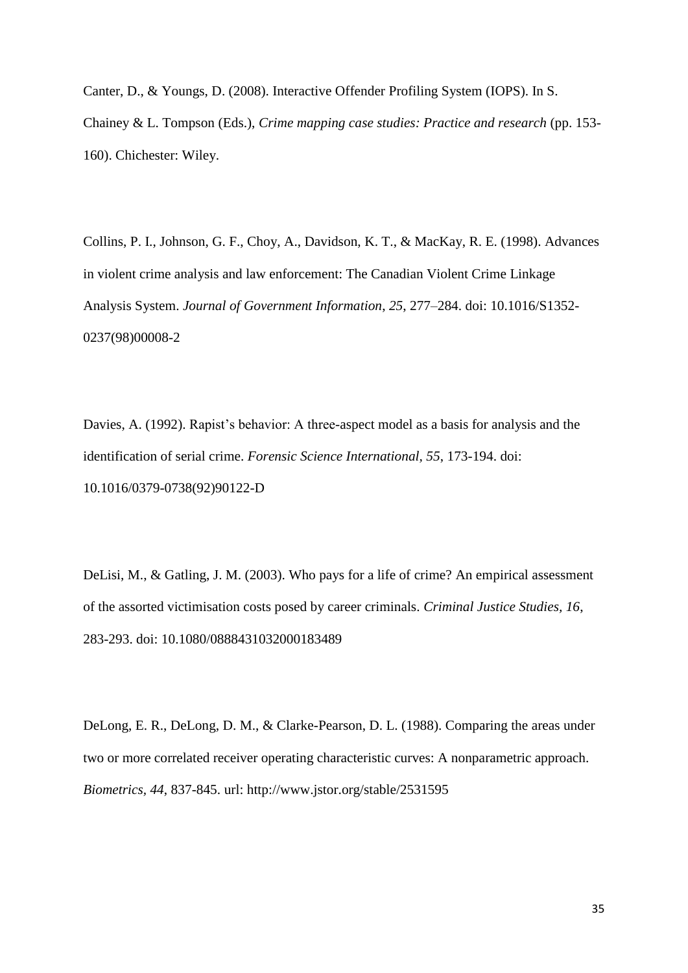Canter, D., & Youngs, D. (2008). Interactive Offender Profiling System (IOPS). In S. Chainey & L. Tompson (Eds.), *Crime mapping case studies: Practice and research* (pp. 153- 160). Chichester: Wiley.

Collins, P. I., Johnson, G. F., Choy, A., Davidson, K. T., & MacKay, R. E. (1998). Advances in violent crime analysis and law enforcement: The Canadian Violent Crime Linkage Analysis System. *Journal of Government Information*, *25*, 277–284. doi: 10.1016/S1352- 0237(98)00008-2

Davies, A. (1992). Rapist's behavior: A three-aspect model as a basis for analysis and the identification of serial crime. *Forensic Science International, 55*, 173-194. doi: 10.1016/0379-0738(92)90122-D

DeLisi, M., & Gatling, J. M. (2003). Who pays for a life of crime? An empirical assessment of the assorted victimisation costs posed by career criminals. *Criminal Justice Studies, 16*, 283-293. doi: 10.1080/0888431032000183489

DeLong, E. R., DeLong, D. M., & Clarke-Pearson, D. L. (1988). Comparing the areas under two or more correlated receiver operating characteristic curves: A nonparametric approach. *Biometrics, 44*, 837-845. url: http://www.jstor.org/stable/2531595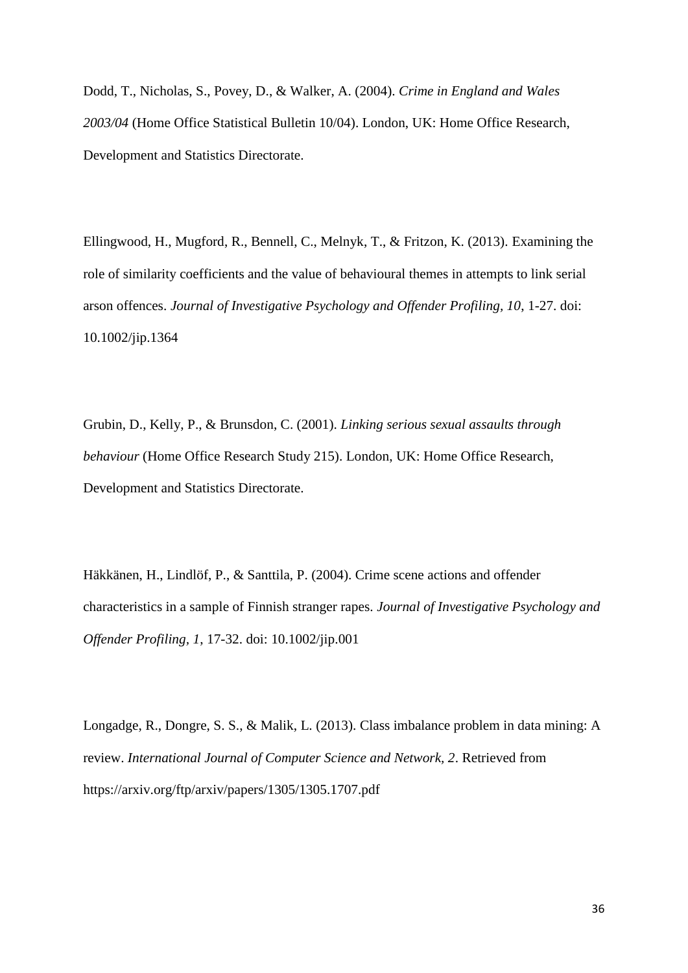Dodd, T., Nicholas, S., Povey, D., & Walker, A. (2004). *Crime in England and Wales 2003/04* (Home Office Statistical Bulletin 10/04). London, UK: Home Office Research, Development and Statistics Directorate.

Ellingwood, H., Mugford, R., Bennell, C., Melnyk, T., & Fritzon, K. (2013). Examining the role of similarity coefficients and the value of behavioural themes in attempts to link serial arson offences. *Journal of Investigative Psychology and Offender Profiling, 10*, 1-27. doi: 10.1002/jip.1364

Grubin, D., Kelly, P., & Brunsdon, C. (2001). *Linking serious sexual assaults through behaviour* (Home Office Research Study 215). London, UK: Home Office Research, Development and Statistics Directorate.

Häkkänen, H., Lindlöf, P., & Santtila, P. (2004). Crime scene actions and offender characteristics in a sample of Finnish stranger rapes. *Journal of Investigative Psychology and Offender Profiling, 1*, 17-32. doi: 10.1002/jip.001

Longadge, R., Dongre, S. S., & Malik, L. (2013). Class imbalance problem in data mining: A review. *International Journal of Computer Science and Network, 2*. Retrieved from https://arxiv.org/ftp/arxiv/papers/1305/1305.1707.pdf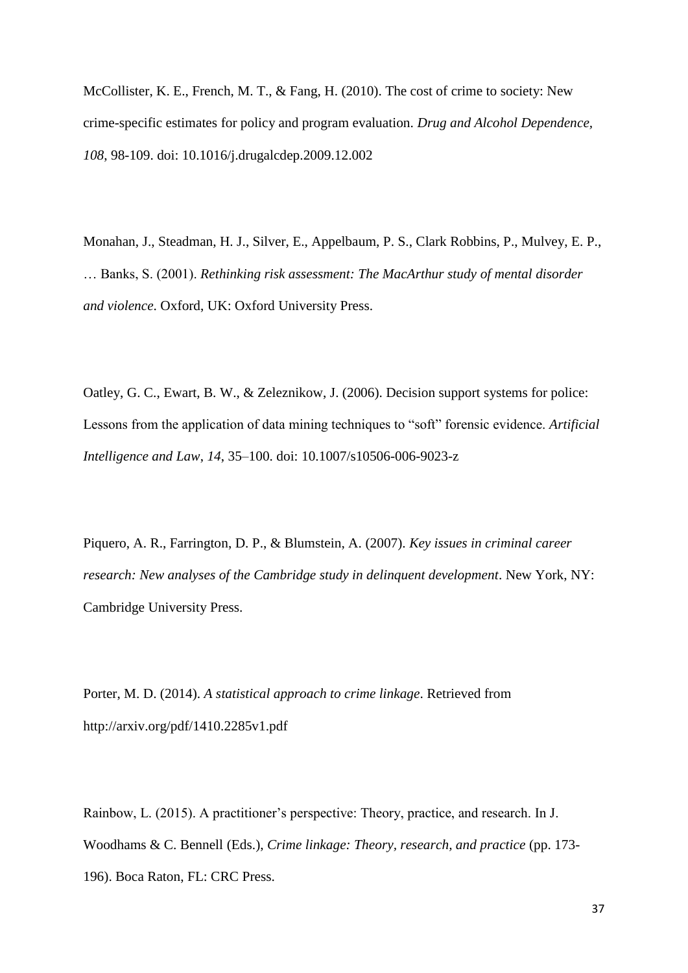McCollister, K. E., French, M. T., & Fang, H. (2010). The cost of crime to society: New crime-specific estimates for policy and program evaluation. *Drug and Alcohol Dependence, 108*, 98-109. doi: [10.1016/j.drugalcdep.2009.12.002](http://dx.doi.org/10.1016/j.drugalcdep.2009.12.002)

Monahan, J., Steadman, H. J., Silver, E., Appelbaum, P. S., Clark Robbins, P., Mulvey, E. P., … Banks, S. (2001). *Rethinking risk assessment: The MacArthur study of mental disorder and violence*. Oxford, UK: Oxford University Press.

Oatley, G. C., Ewart, B. W., & Zeleznikow, J. (2006). Decision support systems for police: Lessons from the application of data mining techniques to "soft" forensic evidence. *Artificial Intelligence and Law*, *14*, 35–100. doi: 10.1007/s10506-006-9023-z

Piquero, A. R., Farrington, D. P., & Blumstein, A. (2007). *Key issues in criminal career research: New analyses of the Cambridge study in delinquent development*. New York, NY: Cambridge University Press.

Porter, M. D. (2014). *A statistical approach to crime linkage*. Retrieved from http://arxiv.org/pdf/1410.2285v1.pdf

Rainbow, L. (2015). A practitioner's perspective: Theory, practice, and research. In J. Woodhams & C. Bennell (Eds.), *Crime linkage: Theory, research, and practice* (pp. 173- 196). Boca Raton, FL: CRC Press.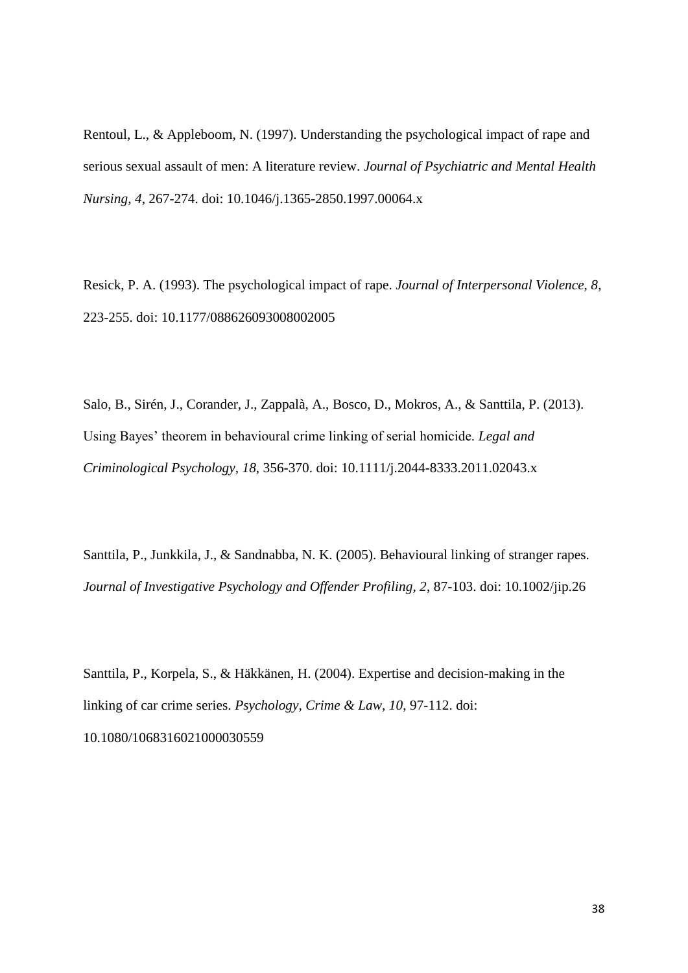Rentoul, L., & Appleboom, N. (1997). Understanding the psychological impact of rape and serious sexual assault of men: A literature review. *Journal of Psychiatric and Mental Health Nursing, 4*, 267-274. doi: 10.1046/j.1365-2850.1997.00064.x

Resick, P. A. (1993). The psychological impact of rape. *Journal of Interpersonal Violence, 8*, 223-255. doi: [10.1177/088626093008002005](https://doi.org/10.1177/088626093008002005)

Salo, B., Sirén, J., Corander, J., Zappalà, A., Bosco, D., Mokros, A., & Santtila, P. (2013). Using Bayes' theorem in behavioural crime linking of serial homicide. *Legal and Criminological Psychology, 18*, 356-370. doi: 10.1111/j.2044-8333.2011.02043.x

Santtila, P., Junkkila, J., & Sandnabba, N. K. (2005). Behavioural linking of stranger rapes. *Journal of Investigative Psychology and Offender Profiling, 2*, 87-103. doi: 10.1002/jip.26

Santtila, P., Korpela, S., & Häkkänen, H. (2004). Expertise and decision-making in the linking of car crime series. *Psychology, Crime & Law, 10*, 97-112. doi: 10.1080/1068316021000030559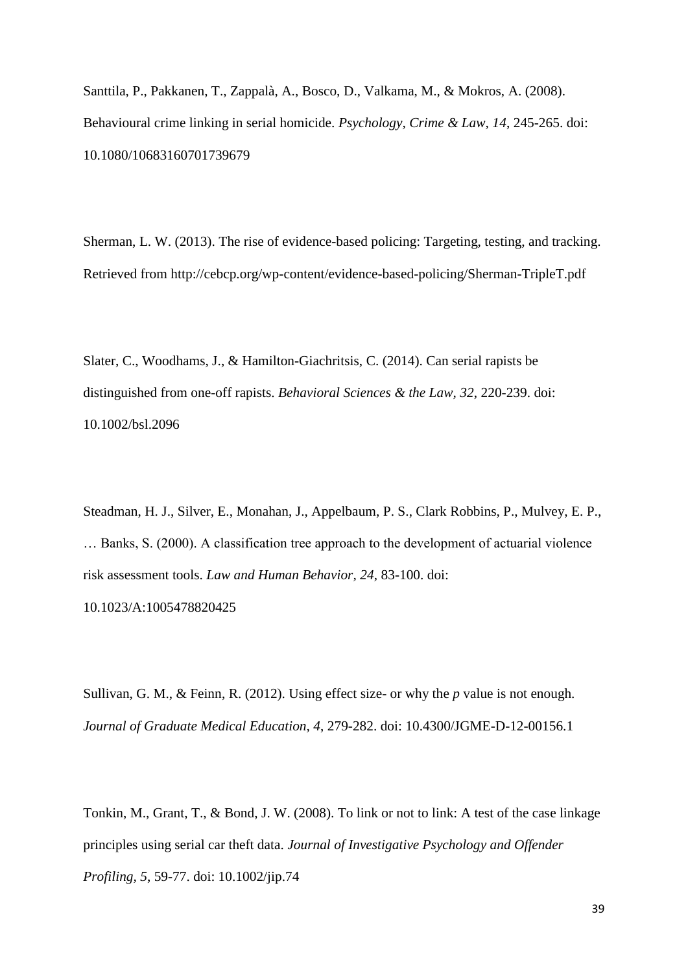Santtila, P., Pakkanen, T., Zappalà, A., Bosco, D., Valkama, M., & Mokros, A. (2008). Behavioural crime linking in serial homicide. *Psychology, Crime & Law, 14*, 245-265. doi: 10.1080/10683160701739679

Sherman, L. W. (2013). The rise of evidence-based policing: Targeting, testing, and tracking. Retrieved from http://cebcp.org/wp-content/evidence-based-policing/Sherman-TripleT.pdf

Slater, C., Woodhams, J., & Hamilton-Giachritsis, C. (2014). Can serial rapists be distinguished from one-off rapists. *Behavioral Sciences & the Law, 32*, 220-239. doi: 10.1002/bsl.2096

Steadman, H. J., Silver, E., Monahan, J., Appelbaum, P. S., Clark Robbins, P., Mulvey, E. P., … Banks, S. (2000). A classification tree approach to the development of actuarial violence risk assessment tools. *Law and Human Behavior, 24*, 83-100. doi: 10.1023/A:1005478820425

Sullivan, G. M., & Feinn, R. (2012). Using effect size- or why the *p* value is not enough. *Journal of Graduate Medical Education, 4*, 279-282. doi: [10.4300/JGME-D-12-00156.1](http://dx.doi.org/10.4300%2FJGME-D-12-00156.1)

Tonkin, M., Grant, T., & Bond, J. W. (2008). To link or not to link: A test of the case linkage principles using serial car theft data. *Journal of Investigative Psychology and Offender Profiling, 5*, 59-77. doi: 10.1002/jip.74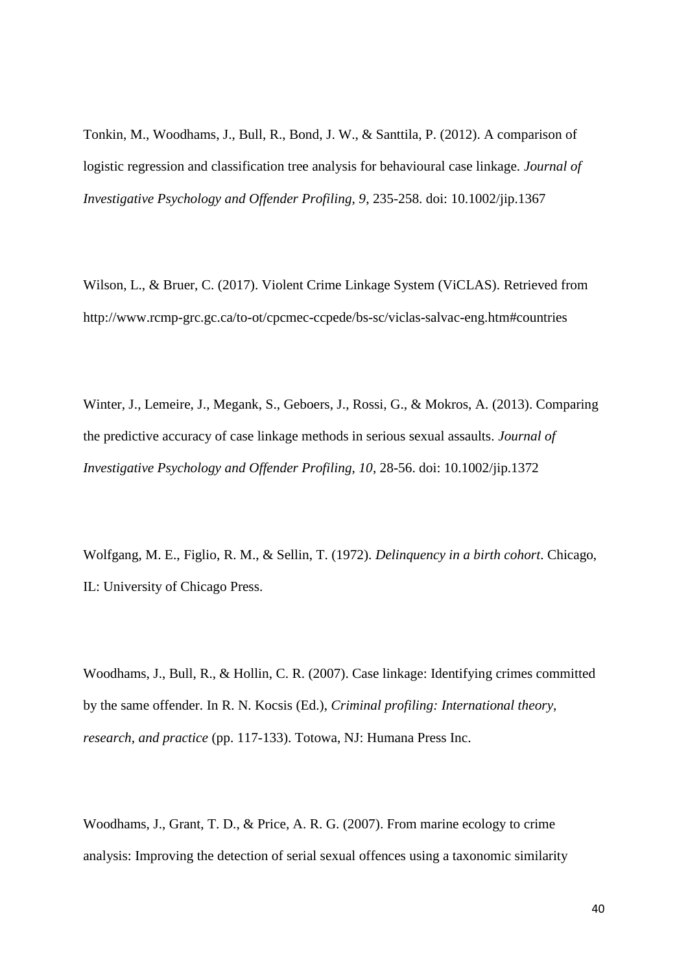Tonkin, M., Woodhams, J., Bull, R., Bond, J. W., & Santtila, P. (2012). A comparison of logistic regression and classification tree analysis for behavioural case linkage. *Journal of Investigative Psychology and Offender Profiling, 9*, 235-258. doi: 10.1002/jip.1367

Wilson, L., & Bruer, C. (2017). Violent Crime Linkage System (ViCLAS). Retrieved from http://www.rcmp-grc.gc.ca/to-ot/cpcmec-ccpede/bs-sc/viclas-salvac-eng.htm#countries

Winter, J., Lemeire, J., Megank, S., Geboers, J., Rossi, G., & Mokros, A. (2013). Comparing the predictive accuracy of case linkage methods in serious sexual assaults. *Journal of Investigative Psychology and Offender Profiling, 10*, 28-56. doi: 10.1002/jip.1372

Wolfgang, M. E., Figlio, R. M., & Sellin, T. (1972). *Delinquency in a birth cohort*. Chicago, IL: University of Chicago Press.

Woodhams, J., Bull, R., & Hollin, C. R. (2007). Case linkage: Identifying crimes committed by the same offender. In R. N. Kocsis (Ed.), *Criminal profiling: International theory, research, and practice* (pp. 117-133). Totowa, NJ: Humana Press Inc.

Woodhams, J., Grant, T. D., & Price, A. R. G. (2007). From marine ecology to crime analysis: Improving the detection of serial sexual offences using a taxonomic similarity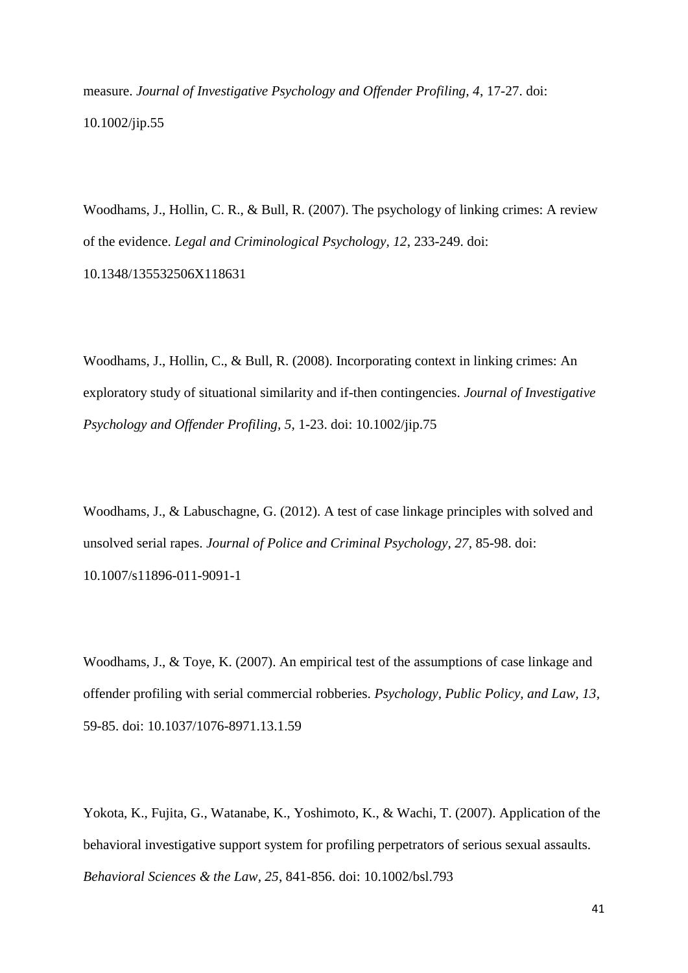measure. *Journal of Investigative Psychology and Offender Profiling, 4*, 17-27. doi: 10.1002/jip.55

Woodhams, J., Hollin, C. R., & Bull, R. (2007). The psychology of linking crimes: A review of the evidence. *Legal and Criminological Psychology, 12*, 233-249. doi: 10.1348/135532506X118631

Woodhams, J., Hollin, C., & Bull, R. (2008). Incorporating context in linking crimes: An exploratory study of situational similarity and if-then contingencies. *Journal of Investigative Psychology and Offender Profiling, 5*, 1-23. doi: 10.1002/jip.75

Woodhams, J., & Labuschagne, G. (2012). A test of case linkage principles with solved and unsolved serial rapes. *Journal of Police and Criminal Psychology, 27*, 85-98. doi: 10.1007/s11896-011-9091-1

Woodhams, J., & Toye, K. (2007). An empirical test of the assumptions of case linkage and offender profiling with serial commercial robberies. *Psychology, Public Policy, and Law, 13*, 59-85. doi: 10.1037/1076-8971.13.1.59

Yokota, K., Fujita, G., Watanabe, K., Yoshimoto, K., & Wachi, T. (2007). Application of the behavioral investigative support system for profiling perpetrators of serious sexual assaults. *Behavioral Sciences & the Law, 25*, 841-856. doi: 10.1002/bsl.793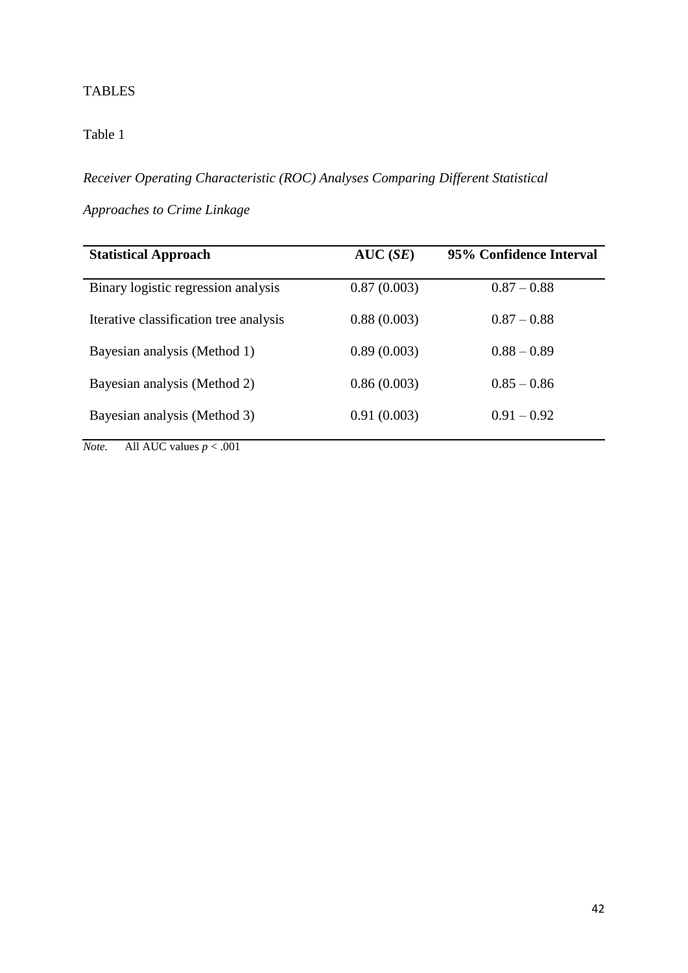### TABLES

### Table 1

*Receiver Operating Characteristic (ROC) Analyses Comparing Different Statistical* 

*Approaches to Crime Linkage*

| <b>Statistical Approach</b>            | AUC(SE)     | 95% Confidence Interval |
|----------------------------------------|-------------|-------------------------|
| Binary logistic regression analysis    | 0.87(0.003) | $0.87 - 0.88$           |
| Iterative classification tree analysis | 0.88(0.003) | $0.87 - 0.88$           |
| Bayesian analysis (Method 1)           | 0.89(0.003) | $0.88 - 0.89$           |
| Bayesian analysis (Method 2)           | 0.86(0.003) | $0.85 - 0.86$           |
| Bayesian analysis (Method 3)           | 0.91(0.003) | $0.91 - 0.92$           |
|                                        |             |                         |

*Note.* All AUC values  $p < .001$